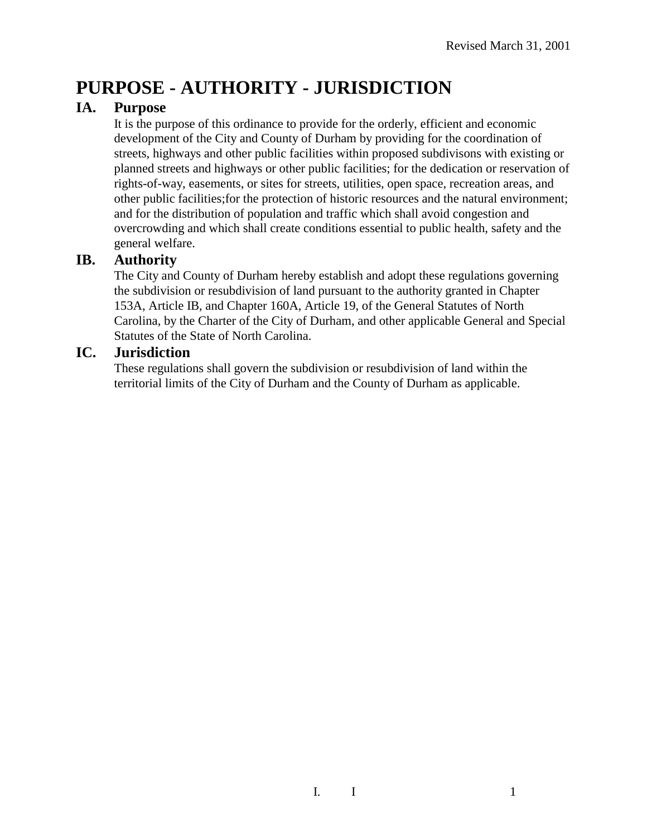# **PURPOSE - AUTHORITY - JURISDICTION**

## **IA. Purpose**

It is the purpose of this ordinance to provide for the orderly, efficient and economic development of the City and County of Durham by providing for the coordination of streets, highways and other public facilities within proposed subdivisons with existing or planned streets and highways or other public facilities; for the dedication or reservation of rights-of-way, easements, or sites for streets, utilities, open space, recreation areas, and other public facilities;for the protection of historic resources and the natural environment; and for the distribution of population and traffic which shall avoid congestion and overcrowding and which shall create conditions essential to public health, safety and the general welfare.

#### **IB. Authority**

The City and County of Durham hereby establish and adopt these regulations governing the subdivision or resubdivision of land pursuant to the authority granted in Chapter 153A, Article IB, and Chapter 160A, Article 19, of the General Statutes of North Carolina, by the Charter of the City of Durham, and other applicable General and Special Statutes of the State of North Carolina.

## **IC. Jurisdiction**

These regulations shall govern the subdivision or resubdivision of land within the territorial limits of the City of Durham and the County of Durham as applicable.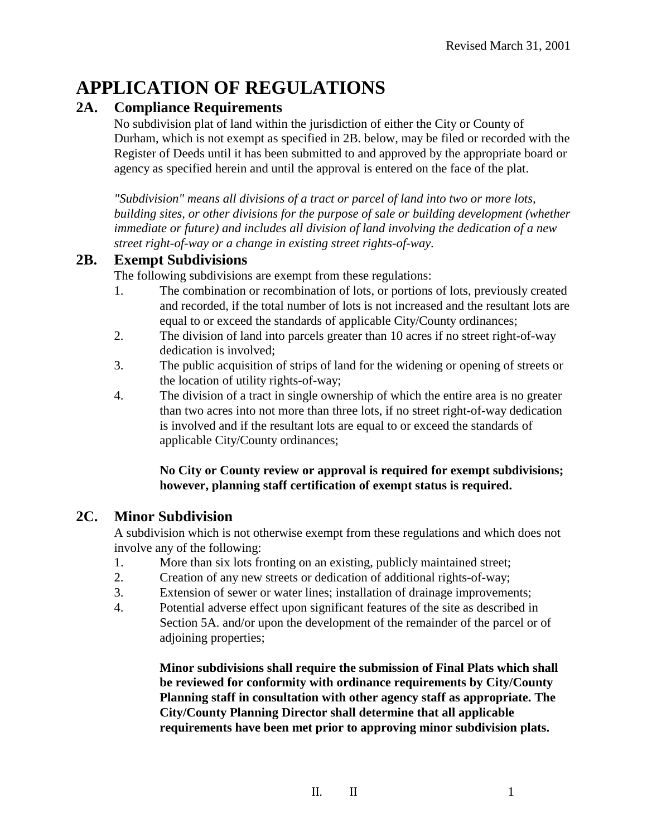## **APPLICATION OF REGULATIONS**

## **2A. Compliance Requirements**

No subdivision plat of land within the jurisdiction of either the City or County of Durham, which is not exempt as specified in 2B. below, may be filed or recorded with the Register of Deeds until it has been submitted to and approved by the appropriate board or agency as specified herein and until the approval is entered on the face of the plat.

*"Subdivision" means all divisions of a tract or parcel of land into two or more lots, building sites, or other divisions for the purpose of sale or building development (whether immediate or future) and includes all division of land involving the dedication of a new street right-of-way or a change in existing street rights-of-way.*

#### **2B. Exempt Subdivisions**

The following subdivisions are exempt from these regulations:

- 1. The combination or recombination of lots, or portions of lots, previously created and recorded, if the total number of lots is not increased and the resultant lots are equal to or exceed the standards of applicable City/County ordinances;
- 2. The division of land into parcels greater than 10 acres if no street right-of-way dedication is involved;
- 3. The public acquisition of strips of land for the widening or opening of streets or the location of utility rights-of-way;
- 4. The division of a tract in single ownership of which the entire area is no greater than two acres into not more than three lots, if no street right-of-way dedication is involved and if the resultant lots are equal to or exceed the standards of applicable City/County ordinances;

#### **No City or County review or approval is required for exempt subdivisions; however, planning staff certification of exempt status is required.**

## **2C. Minor Subdivision**

A subdivision which is not otherwise exempt from these regulations and which does not involve any of the following:

- 1. More than six lots fronting on an existing, publicly maintained street;
- 2. Creation of any new streets or dedication of additional rights-of-way;
- 3. Extension of sewer or water lines; installation of drainage improvements;
- 4. Potential adverse effect upon significant features of the site as described in Section 5A. and/or upon the development of the remainder of the parcel or of adjoining properties;

**Minor subdivisions shall require the submission of Final Plats which shall be reviewed for conformity with ordinance requirements by City/County Planning staff in consultation with other agency staff as appropriate. The City/County Planning Director shall determine that all applicable requirements have been met prior to approving minor subdivision plats.** 

 $II.$  II 1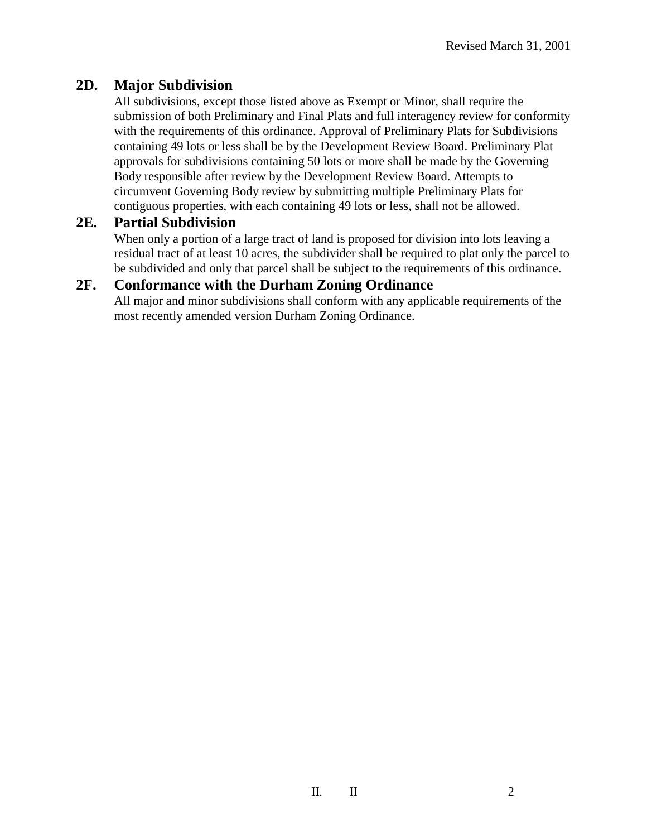## **2D. Major Subdivision**

All subdivisions, except those listed above as Exempt or Minor, shall require the submission of both Preliminary and Final Plats and full interagency review for conformity with the requirements of this ordinance. Approval of Preliminary Plats for Subdivisions containing 49 lots or less shall be by the Development Review Board. Preliminary Plat approvals for subdivisions containing 50 lots or more shall be made by the Governing Body responsible after review by the Development Review Board. Attempts to circumvent Governing Body review by submitting multiple Preliminary Plats for contiguous properties, with each containing 49 lots or less, shall not be allowed.

#### **2E. Partial Subdivision**

When only a portion of a large tract of land is proposed for division into lots leaving a residual tract of at least 10 acres, the subdivider shall be required to plat only the parcel to be subdivided and only that parcel shall be subject to the requirements of this ordinance.

## **2F. Conformance with the Durham Zoning Ordinance**

All major and minor subdivisions shall conform with any applicable requirements of the most recently amended version Durham Zoning Ordinance.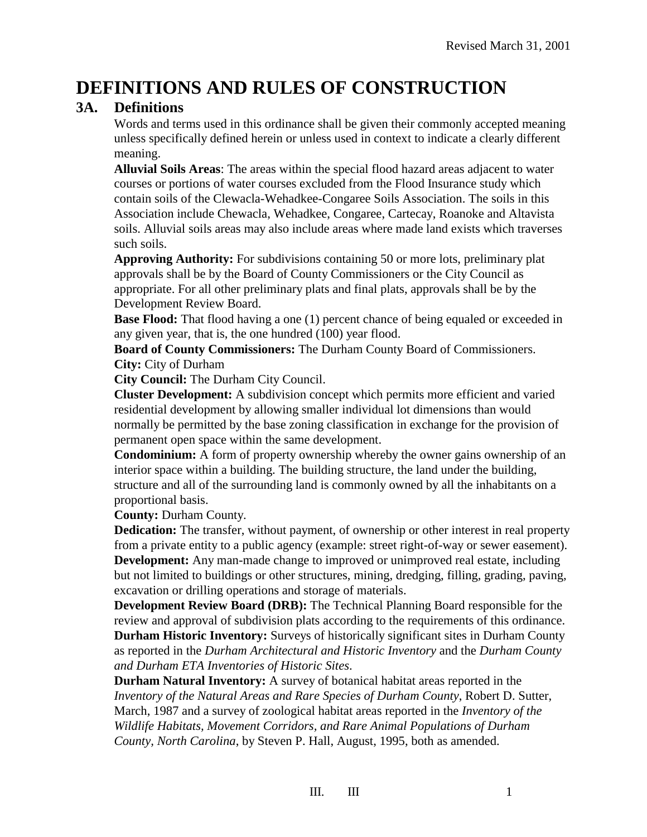## **DEFINITIONS AND RULES OF CONSTRUCTION**

#### **3A. Definitions**

Words and terms used in this ordinance shall be given their commonly accepted meaning unless specifically defined herein or unless used in context to indicate a clearly different meaning.

**Alluvial Soils Areas**: The areas within the special flood hazard areas adjacent to water courses or portions of water courses excluded from the Flood Insurance study which contain soils of the Clewacla-Wehadkee-Congaree Soils Association. The soils in this Association include Chewacla, Wehadkee, Congaree, Cartecay, Roanoke and Altavista soils. Alluvial soils areas may also include areas where made land exists which traverses such soils.

**Approving Authority:** For subdivisions containing 50 or more lots, preliminary plat approvals shall be by the Board of County Commissioners or the City Council as appropriate. For all other preliminary plats and final plats, approvals shall be by the Development Review Board.

**Base Flood:** That flood having a one (1) percent chance of being equaled or exceeded in any given year, that is, the one hundred (100) year flood.

**Board of County Commissioners:** The Durham County Board of Commissioners. **City:** City of Durham

**City Council:** The Durham City Council.

**Cluster Development:** A subdivision concept which permits more efficient and varied residential development by allowing smaller individual lot dimensions than would normally be permitted by the base zoning classification in exchange for the provision of permanent open space within the same development.

**Condominium:** A form of property ownership whereby the owner gains ownership of an interior space within a building. The building structure, the land under the building, structure and all of the surrounding land is commonly owned by all the inhabitants on a proportional basis.

**County:** Durham County.

**Dedication:** The transfer, without payment, of ownership or other interest in real property from a private entity to a public agency (example: street right-of-way or sewer easement). **Development:** Any man-made change to improved or unimproved real estate, including but not limited to buildings or other structures, mining, dredging, filling, grading, paving, excavation or drilling operations and storage of materials.

**Development Review Board (DRB):** The Technical Planning Board responsible for the review and approval of subdivision plats according to the requirements of this ordinance. **Durham Historic Inventory:** Surveys of historically significant sites in Durham County as reported in the *Durham Architectural and Historic Inventory* and the *Durham County and Durham ETA Inventories of Historic Sites*.

**Durham Natural Inventory:** A survey of botanical habitat areas reported in the *Inventory of the Natural Areas and Rare Species of Durham County*, Robert D. Sutter, March, 1987 and a survey of zoological habitat areas reported in the *Inventory of the Wildlife Habitats, Movement Corridors, and Rare Animal Populations of Durham County, North Carolina*, by Steven P. Hall, August, 1995, both as amended.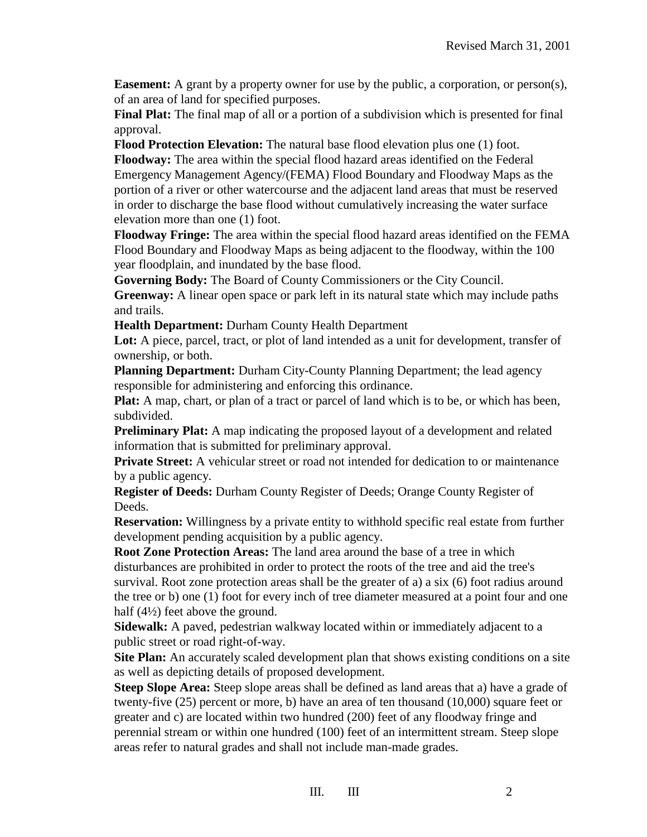**Easement:** A grant by a property owner for use by the public, a corporation, or person(s), of an area of land for specified purposes.

**Final Plat:** The final map of all or a portion of a subdivision which is presented for final approval.

**Flood Protection Elevation:** The natural base flood elevation plus one (1) foot.

**Floodway:** The area within the special flood hazard areas identified on the Federal Emergency Management Agency/(FEMA) Flood Boundary and Floodway Maps as the portion of a river or other watercourse and the adjacent land areas that must be reserved in order to discharge the base flood without cumulatively increasing the water surface elevation more than one (1) foot.

**Floodway Fringe:** The area within the special flood hazard areas identified on the FEMA Flood Boundary and Floodway Maps as being adjacent to the floodway, within the 100 year floodplain, and inundated by the base flood.

**Governing Body:** The Board of County Commissioners or the City Council.

**Greenway:** A linear open space or park left in its natural state which may include paths and trails.

**Health Department:** Durham County Health Department

Lot: A piece, parcel, tract, or plot of land intended as a unit for development, transfer of ownership, or both.

**Planning Department:** Durham City-County Planning Department; the lead agency responsible for administering and enforcing this ordinance.

**Plat:** A map, chart, or plan of a tract or parcel of land which is to be, or which has been, subdivided.

**Preliminary Plat:** A map indicating the proposed layout of a development and related information that is submitted for preliminary approval.

**Private Street:** A vehicular street or road not intended for dedication to or maintenance by a public agency.

**Register of Deeds:** Durham County Register of Deeds; Orange County Register of Deeds.

**Reservation:** Willingness by a private entity to withhold specific real estate from further development pending acquisition by a public agency.

**Root Zone Protection Areas:** The land area around the base of a tree in which disturbances are prohibited in order to protect the roots of the tree and aid the tree's survival. Root zone protection areas shall be the greater of a) a six (6) foot radius around the tree or b) one (1) foot for every inch of tree diameter measured at a point four and one half (4½) feet above the ground.

**Sidewalk:** A paved, pedestrian walkway located within or immediately adjacent to a public street or road right-of-way.

**Site Plan:** An accurately scaled development plan that shows existing conditions on a site as well as depicting details of proposed development.

**Steep Slope Area:** Steep slope areas shall be defined as land areas that a) have a grade of twenty-five (25) percent or more, b) have an area of ten thousand (10,000) square feet or greater and c) are located within two hundred (200) feet of any floodway fringe and perennial stream or within one hundred (100) feet of an intermittent stream. Steep slope areas refer to natural grades and shall not include man-made grades.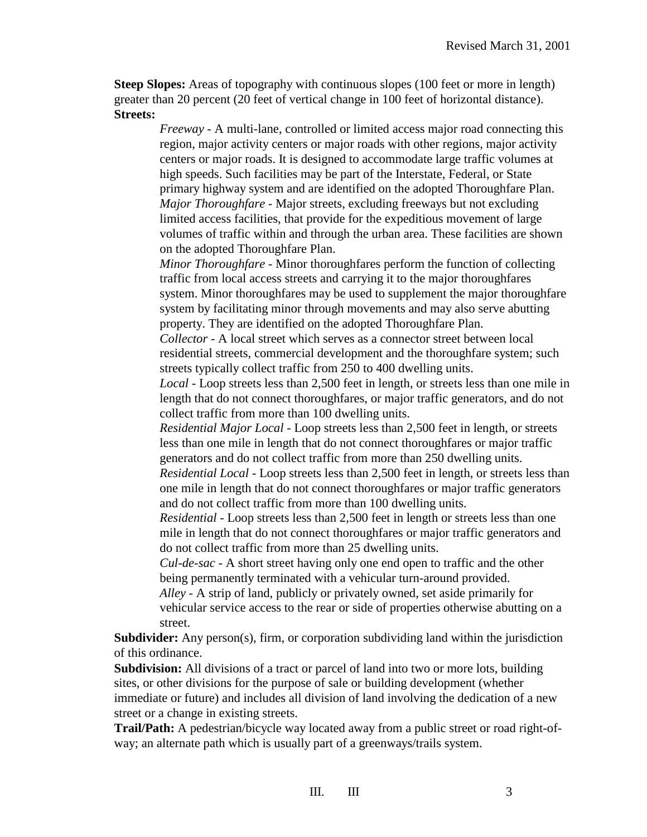**Steep Slopes:** Areas of topography with continuous slopes (100 feet or more in length) greater than 20 percent (20 feet of vertical change in 100 feet of horizontal distance). **Streets:**

> *Freeway* - A multi-lane, controlled or limited access major road connecting this region, major activity centers or major roads with other regions, major activity centers or major roads. It is designed to accommodate large traffic volumes at high speeds. Such facilities may be part of the Interstate, Federal, or State primary highway system and are identified on the adopted Thoroughfare Plan. *Major Thoroughfare* - Major streets, excluding freeways but not excluding limited access facilities, that provide for the expeditious movement of large volumes of traffic within and through the urban area. These facilities are shown on the adopted Thoroughfare Plan.

> *Minor Thoroughfare* - Minor thoroughfares perform the function of collecting traffic from local access streets and carrying it to the major thoroughfares system. Minor thoroughfares may be used to supplement the major thoroughfare system by facilitating minor through movements and may also serve abutting property. They are identified on the adopted Thoroughfare Plan.

*Collector* - A local street which serves as a connector street between local residential streets, commercial development and the thoroughfare system; such streets typically collect traffic from 250 to 400 dwelling units.

*Local* - Loop streets less than 2,500 feet in length, or streets less than one mile in length that do not connect thoroughfares, or major traffic generators, and do not collect traffic from more than 100 dwelling units.

*Residential Major Local* - Loop streets less than 2,500 feet in length, or streets less than one mile in length that do not connect thoroughfares or major traffic generators and do not collect traffic from more than 250 dwelling units.

*Residential Local* - Loop streets less than 2,500 feet in length, or streets less than one mile in length that do not connect thoroughfares or major traffic generators and do not collect traffic from more than 100 dwelling units.

*Residential* - Loop streets less than 2,500 feet in length or streets less than one mile in length that do not connect thoroughfares or major traffic generators and do not collect traffic from more than 25 dwelling units.

*Cul-de-sac* - A short street having only one end open to traffic and the other being permanently terminated with a vehicular turn-around provided.

*Alley* - A strip of land, publicly or privately owned, set aside primarily for vehicular service access to the rear or side of properties otherwise abutting on a street.

**Subdivider:** Any person(s), firm, or corporation subdividing land within the jurisdiction of this ordinance.

**Subdivision:** All divisions of a tract or parcel of land into two or more lots, building sites, or other divisions for the purpose of sale or building development (whether immediate or future) and includes all division of land involving the dedication of a new street or a change in existing streets.

**Trail/Path:** A pedestrian/bicycle way located away from a public street or road right-ofway; an alternate path which is usually part of a greenways/trails system.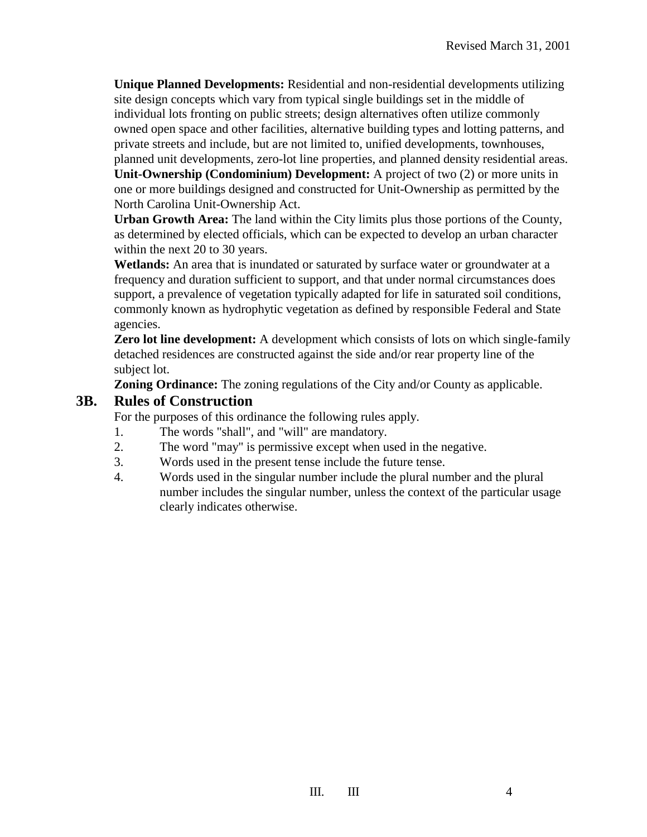**Unique Planned Developments:** Residential and non-residential developments utilizing site design concepts which vary from typical single buildings set in the middle of individual lots fronting on public streets; design alternatives often utilize commonly owned open space and other facilities, alternative building types and lotting patterns, and private streets and include, but are not limited to, unified developments, townhouses, planned unit developments, zero-lot line properties, and planned density residential areas. **Unit-Ownership (Condominium) Development:** A project of two (2) or more units in one or more buildings designed and constructed for Unit-Ownership as permitted by the North Carolina Unit-Ownership Act.

**Urban Growth Area:** The land within the City limits plus those portions of the County, as determined by elected officials, which can be expected to develop an urban character within the next 20 to 30 years.

**Wetlands:** An area that is inundated or saturated by surface water or groundwater at a frequency and duration sufficient to support, and that under normal circumstances does support, a prevalence of vegetation typically adapted for life in saturated soil conditions, commonly known as hydrophytic vegetation as defined by responsible Federal and State agencies.

**Zero lot line development:** A development which consists of lots on which single-family detached residences are constructed against the side and/or rear property line of the subject lot.

**Zoning Ordinance:** The zoning regulations of the City and/or County as applicable.

#### **3B. Rules of Construction**

For the purposes of this ordinance the following rules apply.

- 1. The words "shall", and "will" are mandatory.
- 2. The word "may" is permissive except when used in the negative.
- 3. Words used in the present tense include the future tense.
- 4. Words used in the singular number include the plural number and the plural number includes the singular number, unless the context of the particular usage clearly indicates otherwise.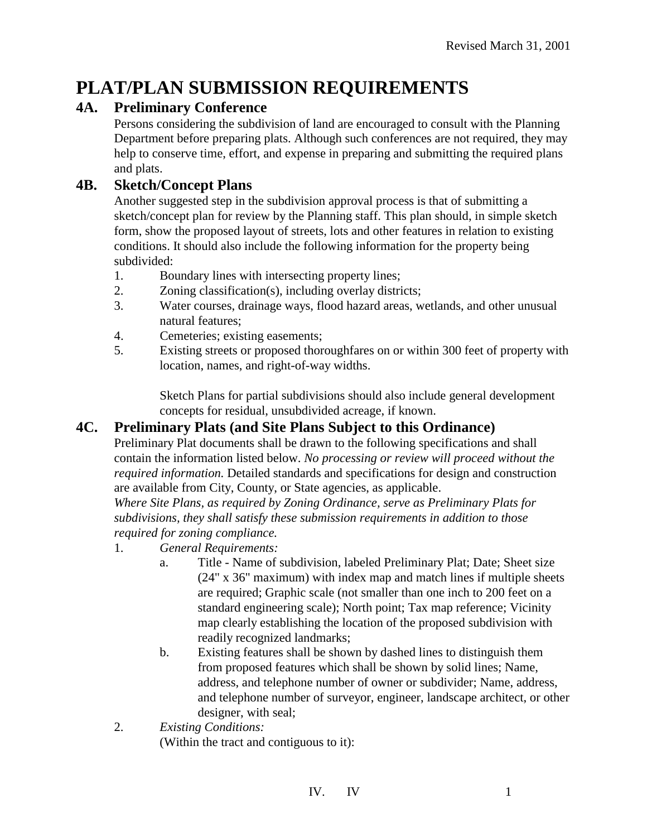## **PLAT/PLAN SUBMISSION REQUIREMENTS**

## **4A. Preliminary Conference**

Persons considering the subdivision of land are encouraged to consult with the Planning Department before preparing plats. Although such conferences are not required, they may help to conserve time, effort, and expense in preparing and submitting the required plans and plats.

## **4B. Sketch/Concept Plans**

Another suggested step in the subdivision approval process is that of submitting a sketch/concept plan for review by the Planning staff. This plan should, in simple sketch form, show the proposed layout of streets, lots and other features in relation to existing conditions. It should also include the following information for the property being subdivided:

- 1. Boundary lines with intersecting property lines;
- 2. Zoning classification(s), including overlay districts;
- 3. Water courses, drainage ways, flood hazard areas, wetlands, and other unusual natural features;
- 4. Cemeteries; existing easements;
- 5. Existing streets or proposed thoroughfares on or within 300 feet of property with location, names, and right-of-way widths.

Sketch Plans for partial subdivisions should also include general development concepts for residual, unsubdivided acreage, if known.

## **4C. Preliminary Plats (and Site Plans Subject to this Ordinance)**

Preliminary Plat documents shall be drawn to the following specifications and shall contain the information listed below. *No processing or review will proceed without the required information.* Detailed standards and specifications for design and construction are available from City, County, or State agencies, as applicable.

*Where Site Plans, as required by Zoning Ordinance, serve as Preliminary Plats for subdivisions, they shall satisfy these submission requirements in addition to those required for zoning compliance.*

- 1. *General Requirements:*
	- a. Title Name of subdivision, labeled Preliminary Plat; Date; Sheet size (24" x 36" maximum) with index map and match lines if multiple sheets are required; Graphic scale (not smaller than one inch to 200 feet on a standard engineering scale); North point; Tax map reference; Vicinity map clearly establishing the location of the proposed subdivision with readily recognized landmarks;
	- b. Existing features shall be shown by dashed lines to distinguish them from proposed features which shall be shown by solid lines; Name, address, and telephone number of owner or subdivider; Name, address, and telephone number of surveyor, engineer, landscape architect, or other designer, with seal;
- 2. *Existing Conditions:* (Within the tract and contiguous to it):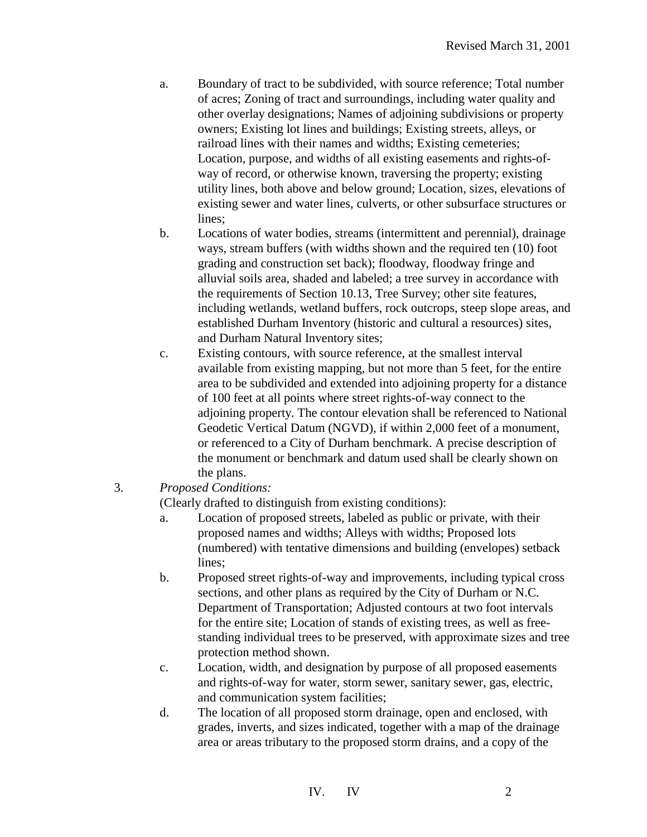- a. Boundary of tract to be subdivided, with source reference; Total number of acres; Zoning of tract and surroundings, including water quality and other overlay designations; Names of adjoining subdivisions or property owners; Existing lot lines and buildings; Existing streets, alleys, or railroad lines with their names and widths; Existing cemeteries; Location, purpose, and widths of all existing easements and rights-ofway of record, or otherwise known, traversing the property; existing utility lines, both above and below ground; Location, sizes, elevations of existing sewer and water lines, culverts, or other subsurface structures or lines;
- b. Locations of water bodies, streams (intermittent and perennial), drainage ways, stream buffers (with widths shown and the required ten (10) foot grading and construction set back); floodway, floodway fringe and alluvial soils area, shaded and labeled; a tree survey in accordance with the requirements of Section 10.13, Tree Survey; other site features, including wetlands, wetland buffers, rock outcrops, steep slope areas, and established Durham Inventory (historic and cultural a resources) sites, and Durham Natural Inventory sites;
- c. Existing contours, with source reference, at the smallest interval available from existing mapping, but not more than 5 feet, for the entire area to be subdivided and extended into adjoining property for a distance of 100 feet at all points where street rights-of-way connect to the adjoining property. The contour elevation shall be referenced to National Geodetic Vertical Datum (NGVD), if within 2,000 feet of a monument, or referenced to a City of Durham benchmark. A precise description of the monument or benchmark and datum used shall be clearly shown on the plans.
- 3. *Proposed Conditions:*

(Clearly drafted to distinguish from existing conditions):

- a. Location of proposed streets, labeled as public or private, with their proposed names and widths; Alleys with widths; Proposed lots (numbered) with tentative dimensions and building (envelopes) setback lines;
- b. Proposed street rights-of-way and improvements, including typical cross sections, and other plans as required by the City of Durham or N.C. Department of Transportation; Adjusted contours at two foot intervals for the entire site; Location of stands of existing trees, as well as freestanding individual trees to be preserved, with approximate sizes and tree protection method shown.
- c. Location, width, and designation by purpose of all proposed easements and rights-of-way for water, storm sewer, sanitary sewer, gas, electric, and communication system facilities;
- d. The location of all proposed storm drainage, open and enclosed, with grades, inverts, and sizes indicated, together with a map of the drainage area or areas tributary to the proposed storm drains, and a copy of the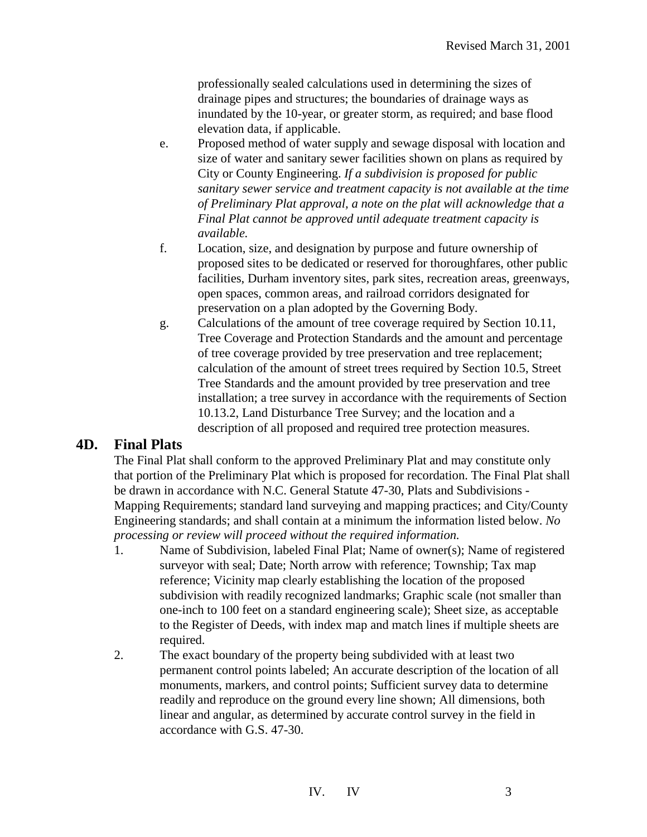professionally sealed calculations used in determining the sizes of drainage pipes and structures; the boundaries of drainage ways as inundated by the 10-year, or greater storm, as required; and base flood elevation data, if applicable.

- e. Proposed method of water supply and sewage disposal with location and size of water and sanitary sewer facilities shown on plans as required by City or County Engineering. *If a subdivision is proposed for public sanitary sewer service and treatment capacity is not available at the time of Preliminary Plat approval, a note on the plat will acknowledge that a Final Plat cannot be approved until adequate treatment capacity is available.*
- f. Location, size, and designation by purpose and future ownership of proposed sites to be dedicated or reserved for thoroughfares, other public facilities, Durham inventory sites, park sites, recreation areas, greenways, open spaces, common areas, and railroad corridors designated for preservation on a plan adopted by the Governing Body.
- g. Calculations of the amount of tree coverage required by Section 10.11, Tree Coverage and Protection Standards and the amount and percentage of tree coverage provided by tree preservation and tree replacement; calculation of the amount of street trees required by Section 10.5, Street Tree Standards and the amount provided by tree preservation and tree installation; a tree survey in accordance with the requirements of Section 10.13.2, Land Disturbance Tree Survey; and the location and a description of all proposed and required tree protection measures.

#### **4D. Final Plats**

The Final Plat shall conform to the approved Preliminary Plat and may constitute only that portion of the Preliminary Plat which is proposed for recordation. The Final Plat shall be drawn in accordance with N.C. General Statute 47-30, Plats and Subdivisions - Mapping Requirements; standard land surveying and mapping practices; and City/County Engineering standards; and shall contain at a minimum the information listed below. *No processing or review will proceed without the required information.*

- 1. Name of Subdivision, labeled Final Plat; Name of owner(s); Name of registered surveyor with seal; Date; North arrow with reference; Township; Tax map reference; Vicinity map clearly establishing the location of the proposed subdivision with readily recognized landmarks; Graphic scale (not smaller than one-inch to 100 feet on a standard engineering scale); Sheet size, as acceptable to the Register of Deeds, with index map and match lines if multiple sheets are required.
- 2. The exact boundary of the property being subdivided with at least two permanent control points labeled; An accurate description of the location of all monuments, markers, and control points; Sufficient survey data to determine readily and reproduce on the ground every line shown; All dimensions, both linear and angular, as determined by accurate control survey in the field in accordance with G.S. 47-30.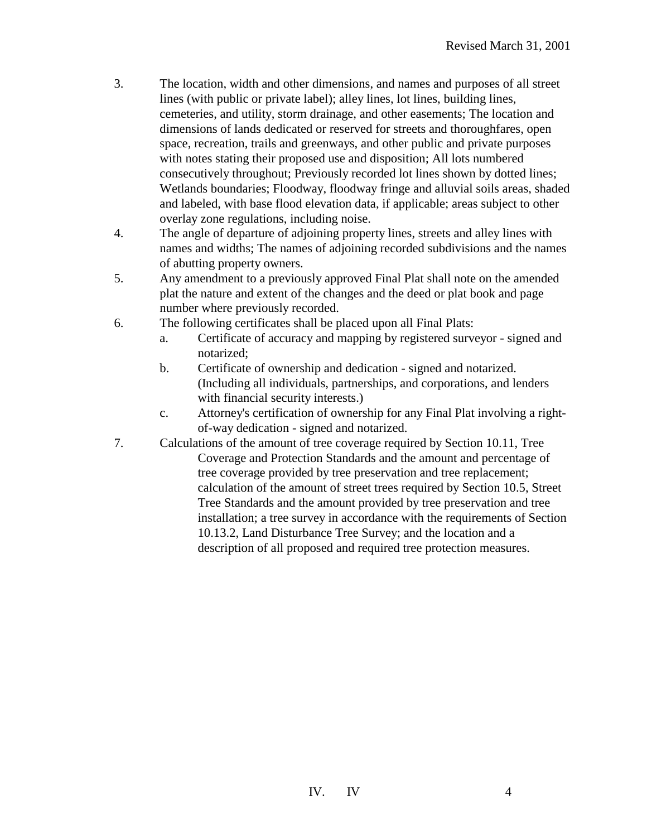- 3. The location, width and other dimensions, and names and purposes of all street lines (with public or private label); alley lines, lot lines, building lines, cemeteries, and utility, storm drainage, and other easements; The location and dimensions of lands dedicated or reserved for streets and thoroughfares, open space, recreation, trails and greenways, and other public and private purposes with notes stating their proposed use and disposition; All lots numbered consecutively throughout; Previously recorded lot lines shown by dotted lines; Wetlands boundaries; Floodway, floodway fringe and alluvial soils areas, shaded and labeled, with base flood elevation data, if applicable; areas subject to other overlay zone regulations, including noise.
- 4. The angle of departure of adjoining property lines, streets and alley lines with names and widths; The names of adjoining recorded subdivisions and the names of abutting property owners.
- 5. Any amendment to a previously approved Final Plat shall note on the amended plat the nature and extent of the changes and the deed or plat book and page number where previously recorded.
- 6. The following certificates shall be placed upon all Final Plats:
	- a. Certificate of accuracy and mapping by registered surveyor signed and notarized;
	- b. Certificate of ownership and dedication signed and notarized. (Including all individuals, partnerships, and corporations, and lenders with financial security interests.)
	- c. Attorney's certification of ownership for any Final Plat involving a rightof-way dedication - signed and notarized.
- 7. Calculations of the amount of tree coverage required by Section 10.11, Tree Coverage and Protection Standards and the amount and percentage of tree coverage provided by tree preservation and tree replacement; calculation of the amount of street trees required by Section 10.5, Street Tree Standards and the amount provided by tree preservation and tree installation; a tree survey in accordance with the requirements of Section 10.13.2, Land Disturbance Tree Survey; and the location and a description of all proposed and required tree protection measures.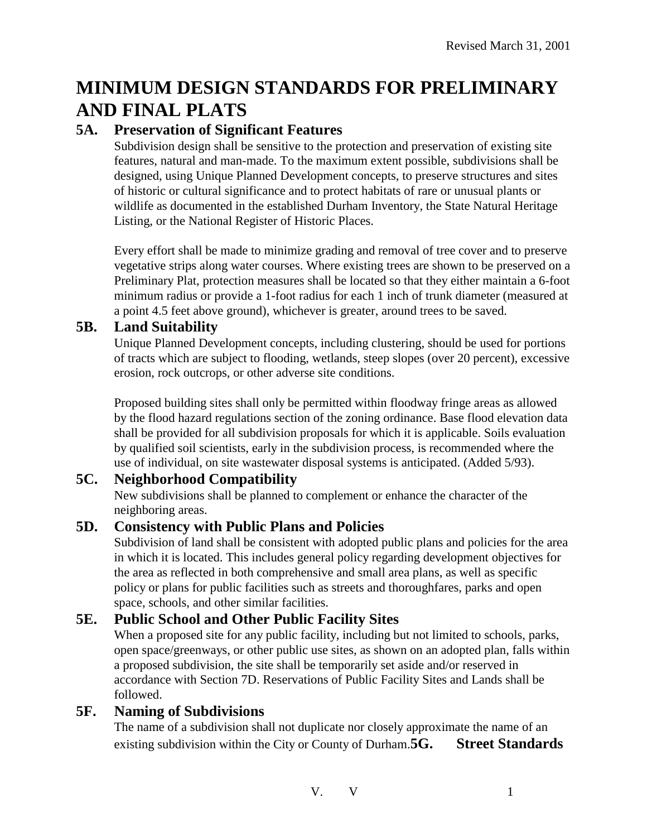# **MINIMUM DESIGN STANDARDS FOR PRELIMINARY AND FINAL PLATS**

## **5A. Preservation of Significant Features**

Subdivision design shall be sensitive to the protection and preservation of existing site features, natural and man-made. To the maximum extent possible, subdivisions shall be designed, using Unique Planned Development concepts, to preserve structures and sites of historic or cultural significance and to protect habitats of rare or unusual plants or wildlife as documented in the established Durham Inventory, the State Natural Heritage Listing, or the National Register of Historic Places.

Every effort shall be made to minimize grading and removal of tree cover and to preserve vegetative strips along water courses. Where existing trees are shown to be preserved on a Preliminary Plat, protection measures shall be located so that they either maintain a 6-foot minimum radius or provide a 1-foot radius for each 1 inch of trunk diameter (measured at a point 4.5 feet above ground), whichever is greater, around trees to be saved.

#### **5B. Land Suitability**

Unique Planned Development concepts, including clustering, should be used for portions of tracts which are subject to flooding, wetlands, steep slopes (over 20 percent), excessive erosion, rock outcrops, or other adverse site conditions.

Proposed building sites shall only be permitted within floodway fringe areas as allowed by the flood hazard regulations section of the zoning ordinance. Base flood elevation data shall be provided for all subdivision proposals for which it is applicable. Soils evaluation by qualified soil scientists, early in the subdivision process, is recommended where the use of individual, on site wastewater disposal systems is anticipated. (Added 5/93).

## **5C. Neighborhood Compatibility**

New subdivisions shall be planned to complement or enhance the character of the neighboring areas.

## **5D. Consistency with Public Plans and Policies**

Subdivision of land shall be consistent with adopted public plans and policies for the area in which it is located. This includes general policy regarding development objectives for the area as reflected in both comprehensive and small area plans, as well as specific policy or plans for public facilities such as streets and thoroughfares, parks and open space, schools, and other similar facilities.

## **5E. Public School and Other Public Facility Sites**

When a proposed site for any public facility, including but not limited to schools, parks, open space/greenways, or other public use sites, as shown on an adopted plan, falls within a proposed subdivision, the site shall be temporarily set aside and/or reserved in accordance with Section 7D. Reservations of Public Facility Sites and Lands shall be followed.

## **5F. Naming of Subdivisions**

The name of a subdivision shall not duplicate nor closely approximate the name of an existing subdivision within the City or County of Durham.<sup>5G.</sup> Street Standards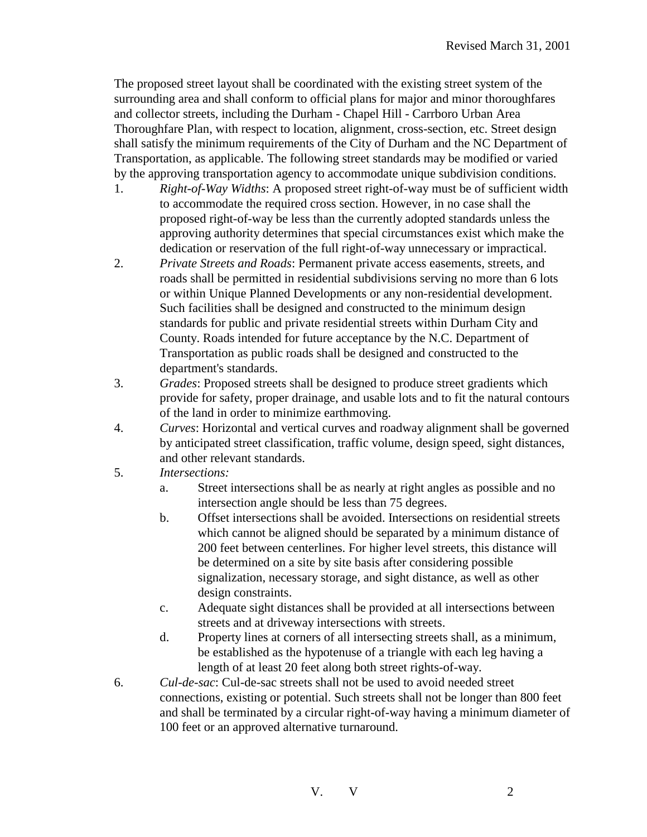The proposed street layout shall be coordinated with the existing street system of the surrounding area and shall conform to official plans for major and minor thoroughfares and collector streets, including the Durham - Chapel Hill - Carrboro Urban Area Thoroughfare Plan, with respect to location, alignment, cross-section, etc. Street design shall satisfy the minimum requirements of the City of Durham and the NC Department of Transportation, as applicable. The following street standards may be modified or varied by the approving transportation agency to accommodate unique subdivision conditions.

- 1. *Right-of-Way Widths*: A proposed street right-of-way must be of sufficient width to accommodate the required cross section. However, in no case shall the proposed right-of-way be less than the currently adopted standards unless the approving authority determines that special circumstances exist which make the dedication or reservation of the full right-of-way unnecessary or impractical.
- 2. *Private Streets and Roads*: Permanent private access easements, streets, and roads shall be permitted in residential subdivisions serving no more than 6 lots or within Unique Planned Developments or any non-residential development. Such facilities shall be designed and constructed to the minimum design standards for public and private residential streets within Durham City and County. Roads intended for future acceptance by the N.C. Department of Transportation as public roads shall be designed and constructed to the department's standards.
- 3. *Grades*: Proposed streets shall be designed to produce street gradients which provide for safety, proper drainage, and usable lots and to fit the natural contours of the land in order to minimize earthmoving.
- 4. *Curves*: Horizontal and vertical curves and roadway alignment shall be governed by anticipated street classification, traffic volume, design speed, sight distances, and other relevant standards.
- 5. *Intersections:*
	- a. Street intersections shall be as nearly at right angles as possible and no intersection angle should be less than 75 degrees.
	- b. Offset intersections shall be avoided. Intersections on residential streets which cannot be aligned should be separated by a minimum distance of 200 feet between centerlines. For higher level streets, this distance will be determined on a site by site basis after considering possible signalization, necessary storage, and sight distance, as well as other design constraints.
	- c. Adequate sight distances shall be provided at all intersections between streets and at driveway intersections with streets.
	- d. Property lines at corners of all intersecting streets shall, as a minimum, be established as the hypotenuse of a triangle with each leg having a length of at least 20 feet along both street rights-of-way.
- 6. *Cul-de-sac*: Cul-de-sac streets shall not be used to avoid needed street connections, existing or potential. Such streets shall not be longer than 800 feet and shall be terminated by a circular right-of-way having a minimum diameter of 100 feet or an approved alternative turnaround.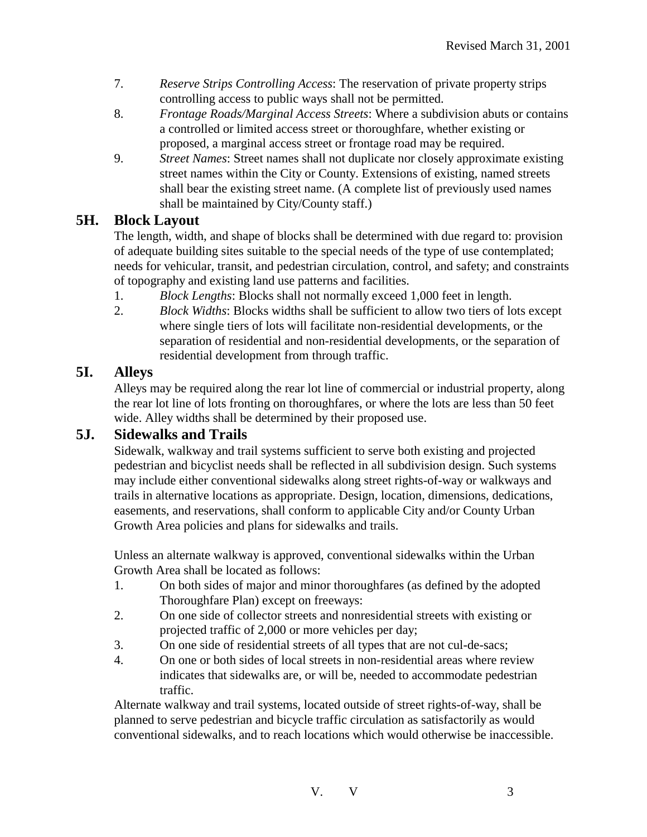- 7. *Reserve Strips Controlling Access*: The reservation of private property strips controlling access to public ways shall not be permitted.
- 8. *Frontage Roads/Marginal Access Streets*: Where a subdivision abuts or contains a controlled or limited access street or thoroughfare, whether existing or proposed, a marginal access street or frontage road may be required.
- 9. *Street Names*: Street names shall not duplicate nor closely approximate existing street names within the City or County. Extensions of existing, named streets shall bear the existing street name. (A complete list of previously used names shall be maintained by City/County staff.)

## **5H. Block Layout**

The length, width, and shape of blocks shall be determined with due regard to: provision of adequate building sites suitable to the special needs of the type of use contemplated; needs for vehicular, transit, and pedestrian circulation, control, and safety; and constraints of topography and existing land use patterns and facilities.

- 1. *Block Lengths*: Blocks shall not normally exceed 1,000 feet in length.
- 2. *Block Widths*: Blocks widths shall be sufficient to allow two tiers of lots except where single tiers of lots will facilitate non-residential developments, or the separation of residential and non-residential developments, or the separation of residential development from through traffic.

## **5I. Alleys**

Alleys may be required along the rear lot line of commercial or industrial property, along the rear lot line of lots fronting on thoroughfares, or where the lots are less than 50 feet wide. Alley widths shall be determined by their proposed use.

## **5J. Sidewalks and Trails**

Sidewalk, walkway and trail systems sufficient to serve both existing and projected pedestrian and bicyclist needs shall be reflected in all subdivision design. Such systems may include either conventional sidewalks along street rights-of-way or walkways and trails in alternative locations as appropriate. Design, location, dimensions, dedications, easements, and reservations, shall conform to applicable City and/or County Urban Growth Area policies and plans for sidewalks and trails.

Unless an alternate walkway is approved, conventional sidewalks within the Urban Growth Area shall be located as follows:

- 1. On both sides of major and minor thoroughfares (as defined by the adopted Thoroughfare Plan) except on freeways:
- 2. On one side of collector streets and nonresidential streets with existing or projected traffic of 2,000 or more vehicles per day;
- 3. On one side of residential streets of all types that are not cul-de-sacs;
- 4. On one or both sides of local streets in non-residential areas where review indicates that sidewalks are, or will be, needed to accommodate pedestrian traffic.

Alternate walkway and trail systems, located outside of street rights-of-way, shall be planned to serve pedestrian and bicycle traffic circulation as satisfactorily as would conventional sidewalks, and to reach locations which would otherwise be inaccessible.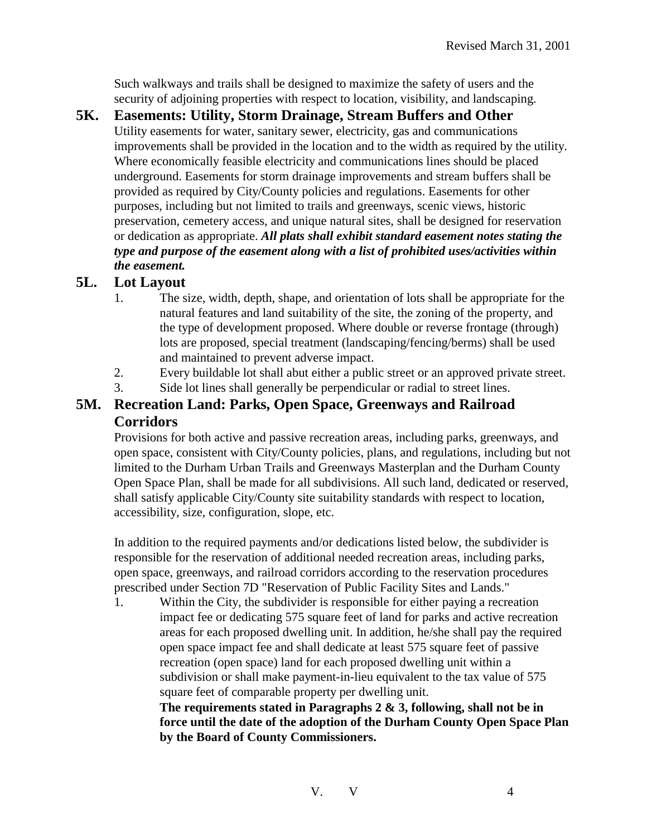Such walkways and trails shall be designed to maximize the safety of users and the security of adjoining properties with respect to location, visibility, and landscaping.

**5K. Easements: Utility, Storm Drainage, Stream Buffers and Other**  Utility easements for water, sanitary sewer, electricity, gas and communications improvements shall be provided in the location and to the width as required by the utility. Where economically feasible electricity and communications lines should be placed underground. Easements for storm drainage improvements and stream buffers shall be provided as required by City/County policies and regulations. Easements for other purposes, including but not limited to trails and greenways, scenic views, historic preservation, cemetery access, and unique natural sites, shall be designed for reservation or dedication as appropriate. *All plats shall exhibit standard easement notes stating the type and purpose of the easement along with a list of prohibited uses/activities within the easement.*

## **5L. Lot Layout**

- 1. The size, width, depth, shape, and orientation of lots shall be appropriate for the natural features and land suitability of the site, the zoning of the property, and the type of development proposed. Where double or reverse frontage (through) lots are proposed, special treatment (landscaping/fencing/berms) shall be used and maintained to prevent adverse impact.
- 2. Every buildable lot shall abut either a public street or an approved private street.
- 3. Side lot lines shall generally be perpendicular or radial to street lines.

## **5M. Recreation Land: Parks, Open Space, Greenways and Railroad Corridors**

Provisions for both active and passive recreation areas, including parks, greenways, and open space, consistent with City/County policies, plans, and regulations, including but not limited to the Durham Urban Trails and Greenways Masterplan and the Durham County Open Space Plan, shall be made for all subdivisions. All such land, dedicated or reserved, shall satisfy applicable City/County site suitability standards with respect to location, accessibility, size, configuration, slope, etc.

In addition to the required payments and/or dedications listed below, the subdivider is responsible for the reservation of additional needed recreation areas, including parks, open space, greenways, and railroad corridors according to the reservation procedures prescribed under Section 7D "Reservation of Public Facility Sites and Lands."

1. Within the City, the subdivider is responsible for either paying a recreation impact fee or dedicating 575 square feet of land for parks and active recreation areas for each proposed dwelling unit. In addition, he/she shall pay the required open space impact fee and shall dedicate at least 575 square feet of passive recreation (open space) land for each proposed dwelling unit within a subdivision or shall make payment-in-lieu equivalent to the tax value of 575 square feet of comparable property per dwelling unit.

**The requirements stated in Paragraphs 2 & 3, following, shall not be in force until the date of the adoption of the Durham County Open Space Plan by the Board of County Commissioners.**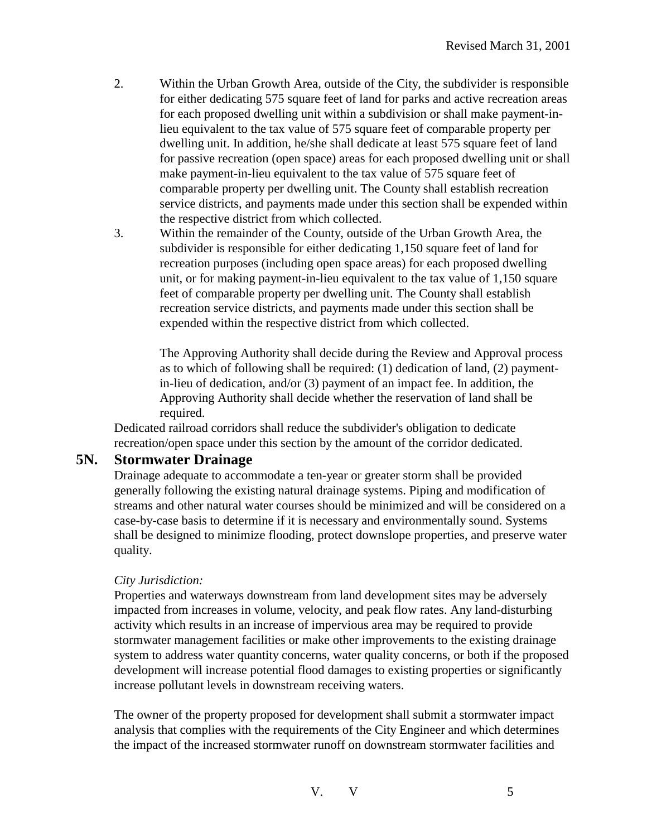- 2. Within the Urban Growth Area, outside of the City, the subdivider is responsible for either dedicating 575 square feet of land for parks and active recreation areas for each proposed dwelling unit within a subdivision or shall make payment-inlieu equivalent to the tax value of 575 square feet of comparable property per dwelling unit. In addition, he/she shall dedicate at least 575 square feet of land for passive recreation (open space) areas for each proposed dwelling unit or shall make payment-in-lieu equivalent to the tax value of 575 square feet of comparable property per dwelling unit. The County shall establish recreation service districts, and payments made under this section shall be expended within the respective district from which collected.
- 3. Within the remainder of the County, outside of the Urban Growth Area, the subdivider is responsible for either dedicating 1,150 square feet of land for recreation purposes (including open space areas) for each proposed dwelling unit, or for making payment-in-lieu equivalent to the tax value of 1,150 square feet of comparable property per dwelling unit. The County shall establish recreation service districts, and payments made under this section shall be expended within the respective district from which collected.

The Approving Authority shall decide during the Review and Approval process as to which of following shall be required: (1) dedication of land, (2) paymentin-lieu of dedication, and/or (3) payment of an impact fee. In addition, the Approving Authority shall decide whether the reservation of land shall be required.

Dedicated railroad corridors shall reduce the subdivider's obligation to dedicate recreation/open space under this section by the amount of the corridor dedicated.

#### **5N. Stormwater Drainage**

Drainage adequate to accommodate a ten-year or greater storm shall be provided generally following the existing natural drainage systems. Piping and modification of streams and other natural water courses should be minimized and will be considered on a case-by-case basis to determine if it is necessary and environmentally sound. Systems shall be designed to minimize flooding, protect downslope properties, and preserve water quality.

#### *City Jurisdiction:*

Properties and waterways downstream from land development sites may be adversely impacted from increases in volume, velocity, and peak flow rates. Any land-disturbing activity which results in an increase of impervious area may be required to provide stormwater management facilities or make other improvements to the existing drainage system to address water quantity concerns, water quality concerns, or both if the proposed development will increase potential flood damages to existing properties or significantly increase pollutant levels in downstream receiving waters.

The owner of the property proposed for development shall submit a stormwater impact analysis that complies with the requirements of the City Engineer and which determines the impact of the increased stormwater runoff on downstream stormwater facilities and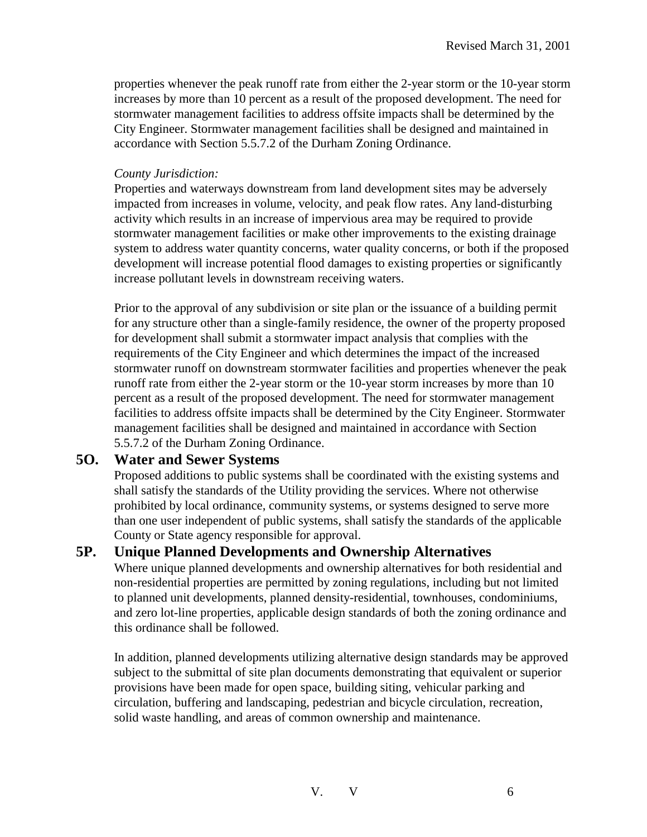properties whenever the peak runoff rate from either the 2-year storm or the 10-year storm increases by more than 10 percent as a result of the proposed development. The need for stormwater management facilities to address offsite impacts shall be determined by the City Engineer. Stormwater management facilities shall be designed and maintained in accordance with Section 5.5.7.2 of the Durham Zoning Ordinance.

#### *County Jurisdiction:*

Properties and waterways downstream from land development sites may be adversely impacted from increases in volume, velocity, and peak flow rates. Any land-disturbing activity which results in an increase of impervious area may be required to provide stormwater management facilities or make other improvements to the existing drainage system to address water quantity concerns, water quality concerns, or both if the proposed development will increase potential flood damages to existing properties or significantly increase pollutant levels in downstream receiving waters.

Prior to the approval of any subdivision or site plan or the issuance of a building permit for any structure other than a single-family residence, the owner of the property proposed for development shall submit a stormwater impact analysis that complies with the requirements of the City Engineer and which determines the impact of the increased stormwater runoff on downstream stormwater facilities and properties whenever the peak runoff rate from either the 2-year storm or the 10-year storm increases by more than 10 percent as a result of the proposed development. The need for stormwater management facilities to address offsite impacts shall be determined by the City Engineer. Stormwater management facilities shall be designed and maintained in accordance with Section 5.5.7.2 of the Durham Zoning Ordinance.

#### **5O. Water and Sewer Systems**

Proposed additions to public systems shall be coordinated with the existing systems and shall satisfy the standards of the Utility providing the services. Where not otherwise prohibited by local ordinance, community systems, or systems designed to serve more than one user independent of public systems, shall satisfy the standards of the applicable County or State agency responsible for approval.

## **5P. Unique Planned Developments and Ownership Alternatives**

Where unique planned developments and ownership alternatives for both residential and non-residential properties are permitted by zoning regulations, including but not limited to planned unit developments, planned density-residential, townhouses, condominiums, and zero lot-line properties, applicable design standards of both the zoning ordinance and this ordinance shall be followed.

In addition, planned developments utilizing alternative design standards may be approved subject to the submittal of site plan documents demonstrating that equivalent or superior provisions have been made for open space, building siting, vehicular parking and circulation, buffering and landscaping, pedestrian and bicycle circulation, recreation, solid waste handling, and areas of common ownership and maintenance.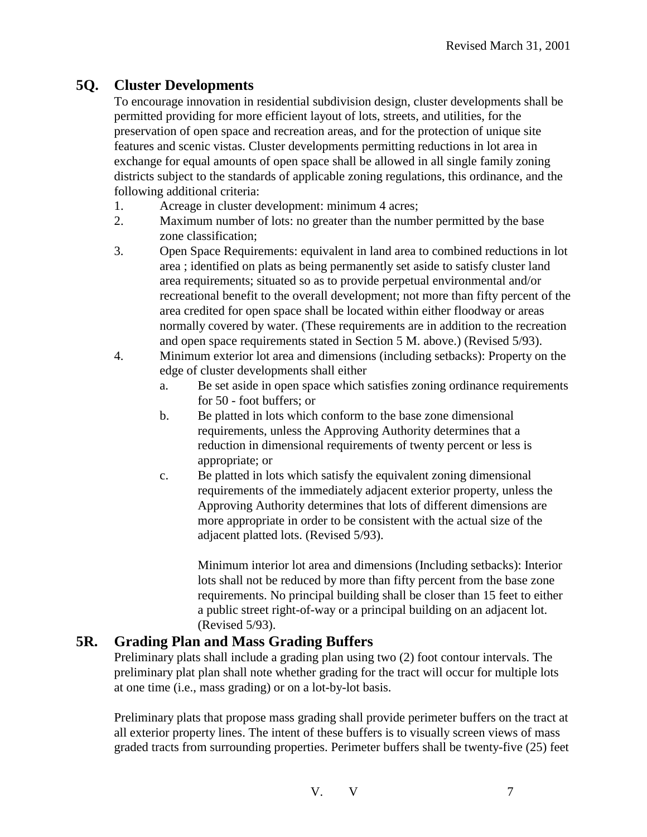## **5Q. Cluster Developments**

To encourage innovation in residential subdivision design, cluster developments shall be permitted providing for more efficient layout of lots, streets, and utilities, for the preservation of open space and recreation areas, and for the protection of unique site features and scenic vistas. Cluster developments permitting reductions in lot area in exchange for equal amounts of open space shall be allowed in all single family zoning districts subject to the standards of applicable zoning regulations, this ordinance, and the following additional criteria:

- 1. Acreage in cluster development: minimum 4 acres;
- 2. Maximum number of lots: no greater than the number permitted by the base zone classification;
- 3. Open Space Requirements: equivalent in land area to combined reductions in lot area ; identified on plats as being permanently set aside to satisfy cluster land area requirements; situated so as to provide perpetual environmental and/or recreational benefit to the overall development; not more than fifty percent of the area credited for open space shall be located within either floodway or areas normally covered by water. (These requirements are in addition to the recreation and open space requirements stated in Section 5 M. above.) (Revised 5/93).
- 4. Minimum exterior lot area and dimensions (including setbacks): Property on the edge of cluster developments shall either
	- a. Be set aside in open space which satisfies zoning ordinance requirements for 50 - foot buffers; or
	- b. Be platted in lots which conform to the base zone dimensional requirements, unless the Approving Authority determines that a reduction in dimensional requirements of twenty percent or less is appropriate; or
	- c. Be platted in lots which satisfy the equivalent zoning dimensional requirements of the immediately adjacent exterior property, unless the Approving Authority determines that lots of different dimensions are more appropriate in order to be consistent with the actual size of the adjacent platted lots. (Revised 5/93).

Minimum interior lot area and dimensions (Including setbacks): Interior lots shall not be reduced by more than fifty percent from the base zone requirements. No principal building shall be closer than 15 feet to either a public street right-of-way or a principal building on an adjacent lot. (Revised 5/93).

## **5R. Grading Plan and Mass Grading Buffers**

Preliminary plats shall include a grading plan using two (2) foot contour intervals. The preliminary plat plan shall note whether grading for the tract will occur for multiple lots at one time (i.e., mass grading) or on a lot-by-lot basis.

Preliminary plats that propose mass grading shall provide perimeter buffers on the tract at all exterior property lines. The intent of these buffers is to visually screen views of mass graded tracts from surrounding properties. Perimeter buffers shall be twenty-five (25) feet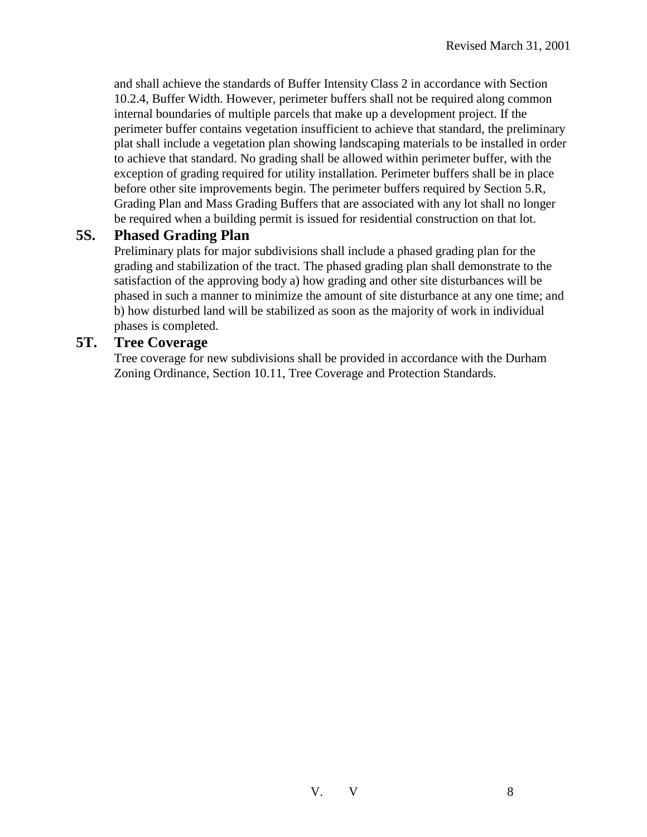and shall achieve the standards of Buffer Intensity Class 2 in accordance with Section 10.2.4, Buffer Width. However, perimeter buffers shall not be required along common internal boundaries of multiple parcels that make up a development project. If the perimeter buffer contains vegetation insufficient to achieve that standard, the preliminary plat shall include a vegetation plan showing landscaping materials to be installed in order to achieve that standard. No grading shall be allowed within perimeter buffer, with the exception of grading required for utility installation. Perimeter buffers shall be in place before other site improvements begin. The perimeter buffers required by Section 5.R, Grading Plan and Mass Grading Buffers that are associated with any lot shall no longer be required when a building permit is issued for residential construction on that lot.

#### **5S. Phased Grading Plan**

Preliminary plats for major subdivisions shall include a phased grading plan for the grading and stabilization of the tract. The phased grading plan shall demonstrate to the satisfaction of the approving body a) how grading and other site disturbances will be phased in such a manner to minimize the amount of site disturbance at any one time; and b) how disturbed land will be stabilized as soon as the majority of work in individual phases is completed.

#### **5T. Tree Coverage**

Tree coverage for new subdivisions shall be provided in accordance with the Durham Zoning Ordinance, Section 10.11, Tree Coverage and Protection Standards.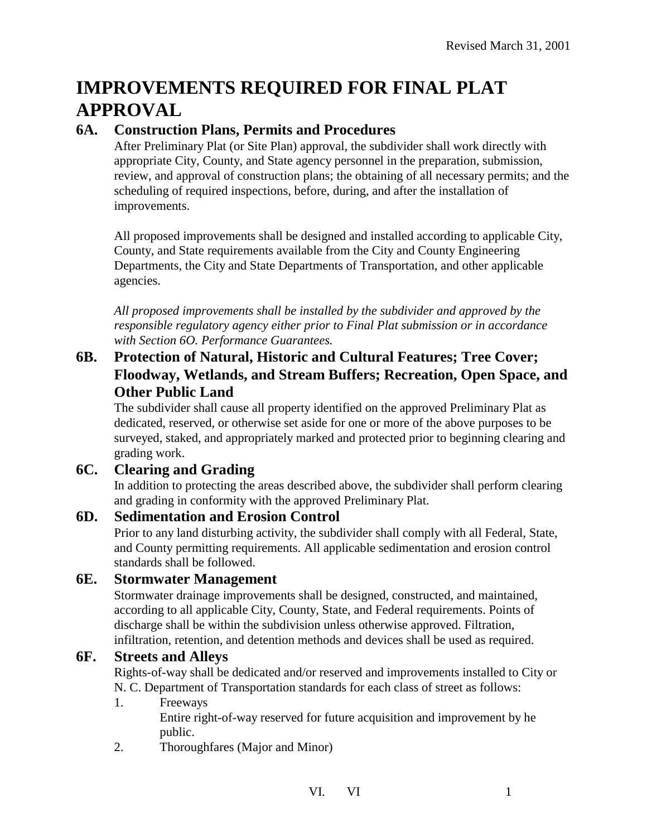# **IMPROVEMENTS REQUIRED FOR FINAL PLAT APPROVAL**

## **6A. Construction Plans, Permits and Procedures**

After Preliminary Plat (or Site Plan) approval, the subdivider shall work directly with appropriate City, County, and State agency personnel in the preparation, submission, review, and approval of construction plans; the obtaining of all necessary permits; and the scheduling of required inspections, before, during, and after the installation of improvements.

All proposed improvements shall be designed and installed according to applicable City, County, and State requirements available from the City and County Engineering Departments, the City and State Departments of Transportation, and other applicable agencies.

*All proposed improvements shall be installed by the subdivider and approved by the responsible regulatory agency either prior to Final Plat submission or in accordance with Section 6O. Performance Guarantees.*

## **6B. Protection of Natural, Historic and Cultural Features; Tree Cover; Floodway, Wetlands, and Stream Buffers; Recreation, Open Space, and Other Public Land**

The subdivider shall cause all property identified on the approved Preliminary Plat as dedicated, reserved, or otherwise set aside for one or more of the above purposes to be surveyed, staked, and appropriately marked and protected prior to beginning clearing and grading work.

## **6C. Clearing and Grading**

In addition to protecting the areas described above, the subdivider shall perform clearing and grading in conformity with the approved Preliminary Plat.

#### **6D. Sedimentation and Erosion Control**

Prior to any land disturbing activity, the subdivider shall comply with all Federal, State, and County permitting requirements. All applicable sedimentation and erosion control standards shall be followed.

#### **6E. Stormwater Management**

Stormwater drainage improvements shall be designed, constructed, and maintained, according to all applicable City, County, State, and Federal requirements. Points of discharge shall be within the subdivision unless otherwise approved. Filtration, infiltration, retention, and detention methods and devices shall be used as required.

#### **6F. Streets and Alleys**

Rights-of-way shall be dedicated and/or reserved and improvements installed to City or N. C. Department of Transportation standards for each class of street as follows:

#### 1. Freeways

Entire right-of-way reserved for future acquisition and improvement by he public.

2. Thoroughfares (Major and Minor)

VI. VI 1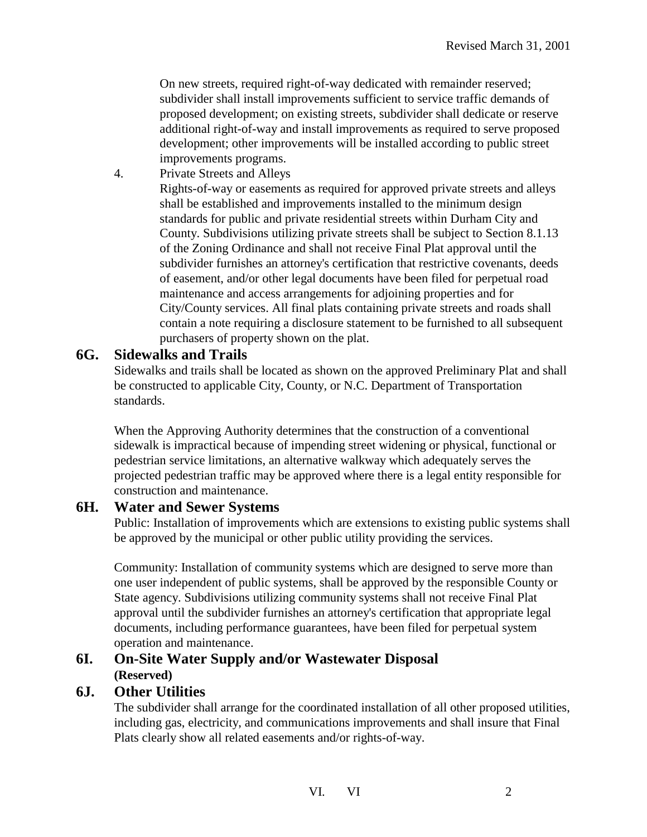On new streets, required right-of-way dedicated with remainder reserved; subdivider shall install improvements sufficient to service traffic demands of proposed development; on existing streets, subdivider shall dedicate or reserve additional right-of-way and install improvements as required to serve proposed development; other improvements will be installed according to public street improvements programs.

4. Private Streets and Alleys

Rights-of-way or easements as required for approved private streets and alleys shall be established and improvements installed to the minimum design standards for public and private residential streets within Durham City and County. Subdivisions utilizing private streets shall be subject to Section 8.1.13 of the Zoning Ordinance and shall not receive Final Plat approval until the subdivider furnishes an attorney's certification that restrictive covenants, deeds of easement, and/or other legal documents have been filed for perpetual road maintenance and access arrangements for adjoining properties and for City/County services. All final plats containing private streets and roads shall contain a note requiring a disclosure statement to be furnished to all subsequent purchasers of property shown on the plat.

#### **6G. Sidewalks and Trails**

Sidewalks and trails shall be located as shown on the approved Preliminary Plat and shall be constructed to applicable City, County, or N.C. Department of Transportation standards.

When the Approving Authority determines that the construction of a conventional sidewalk is impractical because of impending street widening or physical, functional or pedestrian service limitations, an alternative walkway which adequately serves the projected pedestrian traffic may be approved where there is a legal entity responsible for construction and maintenance.

#### **6H. Water and Sewer Systems**

Public: Installation of improvements which are extensions to existing public systems shall be approved by the municipal or other public utility providing the services.

Community: Installation of community systems which are designed to serve more than one user independent of public systems, shall be approved by the responsible County or State agency. Subdivisions utilizing community systems shall not receive Final Plat approval until the subdivider furnishes an attorney's certification that appropriate legal documents, including performance guarantees, have been filed for perpetual system operation and maintenance.

## **6I. On-Site Water Supply and/or Wastewater Disposal (Reserved)**

#### **6J. Other Utilities**

The subdivider shall arrange for the coordinated installation of all other proposed utilities, including gas, electricity, and communications improvements and shall insure that Final Plats clearly show all related easements and/or rights-of-way.

VI. VI 2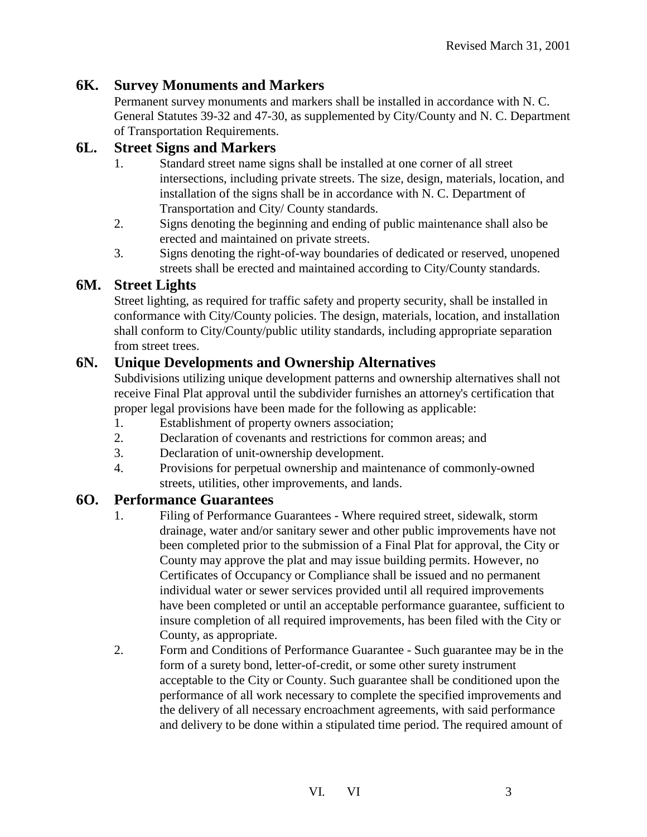## **6K. Survey Monuments and Markers**

Permanent survey monuments and markers shall be installed in accordance with N. C. General Statutes 39-32 and 47-30, as supplemented by City/County and N. C. Department of Transportation Requirements.

### **6L. Street Signs and Markers**

- 1. Standard street name signs shall be installed at one corner of all street intersections, including private streets. The size, design, materials, location, and installation of the signs shall be in accordance with N. C. Department of Transportation and City/ County standards.
- 2. Signs denoting the beginning and ending of public maintenance shall also be erected and maintained on private streets.
- 3. Signs denoting the right-of-way boundaries of dedicated or reserved, unopened streets shall be erected and maintained according to City/County standards.

## **6M. Street Lights**

Street lighting, as required for traffic safety and property security, shall be installed in conformance with City/County policies. The design, materials, location, and installation shall conform to City/County/public utility standards, including appropriate separation from street trees.

## **6N. Unique Developments and Ownership Alternatives**

Subdivisions utilizing unique development patterns and ownership alternatives shall not receive Final Plat approval until the subdivider furnishes an attorney's certification that proper legal provisions have been made for the following as applicable:

- 1. Establishment of property owners association;
- 2. Declaration of covenants and restrictions for common areas; and
- 3. Declaration of unit-ownership development.
- 4. Provisions for perpetual ownership and maintenance of commonly-owned streets, utilities, other improvements, and lands.

#### **6O. Performance Guarantees**

- 1. Filing of Performance Guarantees Where required street, sidewalk, storm drainage, water and/or sanitary sewer and other public improvements have not been completed prior to the submission of a Final Plat for approval, the City or County may approve the plat and may issue building permits. However, no Certificates of Occupancy or Compliance shall be issued and no permanent individual water or sewer services provided until all required improvements have been completed or until an acceptable performance guarantee, sufficient to insure completion of all required improvements, has been filed with the City or County, as appropriate.
- 2. Form and Conditions of Performance Guarantee Such guarantee may be in the form of a surety bond, letter-of-credit, or some other surety instrument acceptable to the City or County. Such guarantee shall be conditioned upon the performance of all work necessary to complete the specified improvements and the delivery of all necessary encroachment agreements, with said performance and delivery to be done within a stipulated time period. The required amount of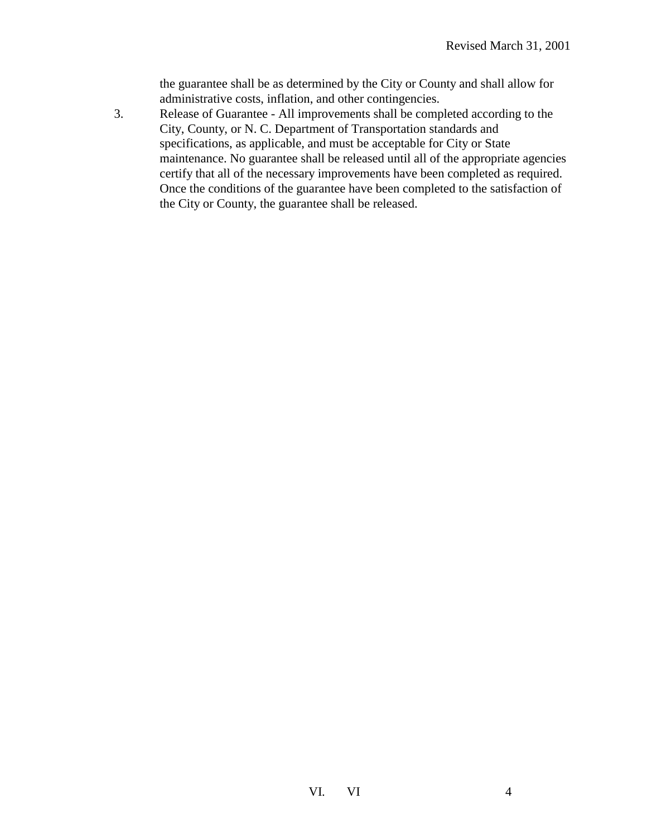the guarantee shall be as determined by the City or County and shall allow for administrative costs, inflation, and other contingencies.

3. Release of Guarantee - All improvements shall be completed according to the City, County, or N. C. Department of Transportation standards and specifications, as applicable, and must be acceptable for City or State maintenance. No guarantee shall be released until all of the appropriate agencies certify that all of the necessary improvements have been completed as required. Once the conditions of the guarantee have been completed to the satisfaction of the City or County, the guarantee shall be released.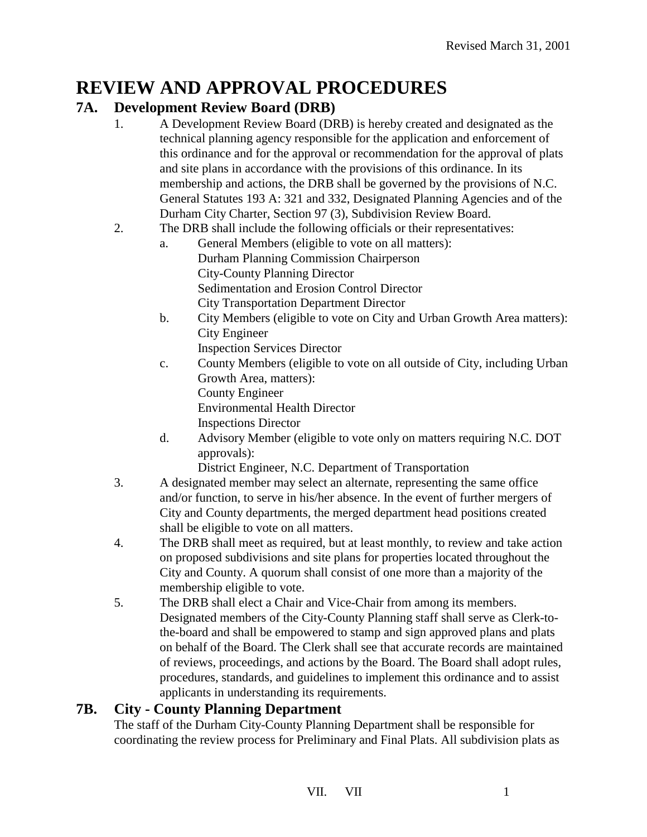## **REVIEW AND APPROVAL PROCEDURES**

## **7A. Development Review Board (DRB)**

- 1. A Development Review Board (DRB) is hereby created and designated as the technical planning agency responsible for the application and enforcement of this ordinance and for the approval or recommendation for the approval of plats and site plans in accordance with the provisions of this ordinance. In its membership and actions, the DRB shall be governed by the provisions of N.C. General Statutes 193 A: 321 and 332, Designated Planning Agencies and of the Durham City Charter, Section 97 (3), Subdivision Review Board.
- 2. The DRB shall include the following officials or their representatives:
	- a. General Members (eligible to vote on all matters): Durham Planning Commission Chairperson City-County Planning Director Sedimentation and Erosion Control Director City Transportation Department Director
	- b. City Members (eligible to vote on City and Urban Growth Area matters): City Engineer
		- Inspection Services Director
	- c. County Members (eligible to vote on all outside of City, including Urban Growth Area, matters): County Engineer Environmental Health Director Inspections Director
	- d. Advisory Member (eligible to vote only on matters requiring N.C. DOT approvals):

District Engineer, N.C. Department of Transportation

- 3. A designated member may select an alternate, representing the same office and/or function, to serve in his/her absence. In the event of further mergers of City and County departments, the merged department head positions created shall be eligible to vote on all matters.
- 4. The DRB shall meet as required, but at least monthly, to review and take action on proposed subdivisions and site plans for properties located throughout the City and County. A quorum shall consist of one more than a majority of the membership eligible to vote.
- 5. The DRB shall elect a Chair and Vice-Chair from among its members. Designated members of the City-County Planning staff shall serve as Clerk-tothe-board and shall be empowered to stamp and sign approved plans and plats on behalf of the Board. The Clerk shall see that accurate records are maintained of reviews, proceedings, and actions by the Board. The Board shall adopt rules, procedures, standards, and guidelines to implement this ordinance and to assist applicants in understanding its requirements.

## **7B. City - County Planning Department**

The staff of the Durham City-County Planning Department shall be responsible for coordinating the review process for Preliminary and Final Plats. All subdivision plats as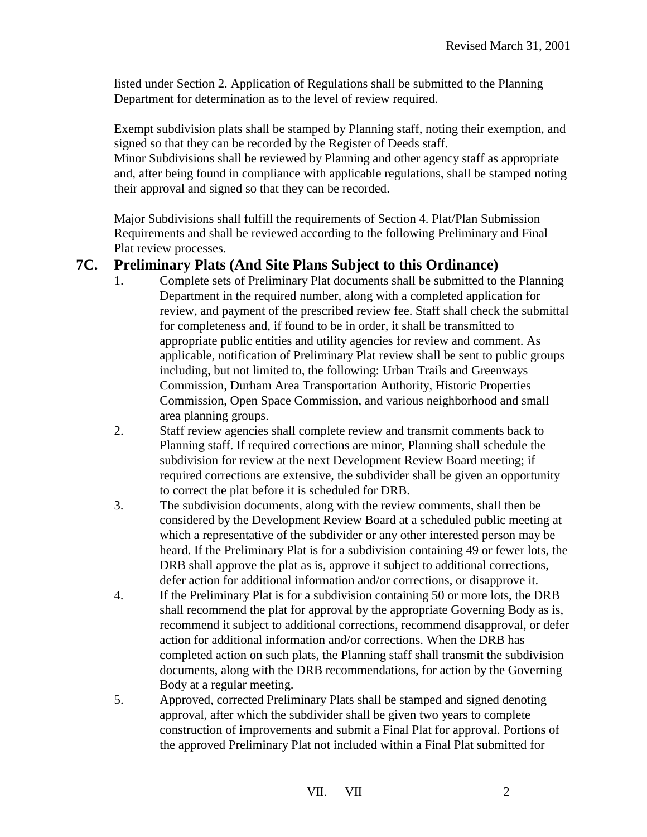listed under Section 2. Application of Regulations shall be submitted to the Planning Department for determination as to the level of review required.

Exempt subdivision plats shall be stamped by Planning staff, noting their exemption, and signed so that they can be recorded by the Register of Deeds staff.

Minor Subdivisions shall be reviewed by Planning and other agency staff as appropriate and, after being found in compliance with applicable regulations, shall be stamped noting their approval and signed so that they can be recorded.

Major Subdivisions shall fulfill the requirements of Section 4. Plat/Plan Submission Requirements and shall be reviewed according to the following Preliminary and Final Plat review processes.

## **7C. Preliminary Plats (And Site Plans Subject to this Ordinance)**

- 1. Complete sets of Preliminary Plat documents shall be submitted to the Planning Department in the required number, along with a completed application for review, and payment of the prescribed review fee. Staff shall check the submittal for completeness and, if found to be in order, it shall be transmitted to appropriate public entities and utility agencies for review and comment. As applicable, notification of Preliminary Plat review shall be sent to public groups including, but not limited to, the following: Urban Trails and Greenways Commission, Durham Area Transportation Authority, Historic Properties Commission, Open Space Commission, and various neighborhood and small area planning groups.
- 2. Staff review agencies shall complete review and transmit comments back to Planning staff. If required corrections are minor, Planning shall schedule the subdivision for review at the next Development Review Board meeting; if required corrections are extensive, the subdivider shall be given an opportunity to correct the plat before it is scheduled for DRB.
- 3. The subdivision documents, along with the review comments, shall then be considered by the Development Review Board at a scheduled public meeting at which a representative of the subdivider or any other interested person may be heard. If the Preliminary Plat is for a subdivision containing 49 or fewer lots, the DRB shall approve the plat as is, approve it subject to additional corrections, defer action for additional information and/or corrections, or disapprove it.
- 4. If the Preliminary Plat is for a subdivision containing 50 or more lots, the DRB shall recommend the plat for approval by the appropriate Governing Body as is, recommend it subject to additional corrections, recommend disapproval, or defer action for additional information and/or corrections. When the DRB has completed action on such plats, the Planning staff shall transmit the subdivision documents, along with the DRB recommendations, for action by the Governing Body at a regular meeting.
- 5. Approved, corrected Preliminary Plats shall be stamped and signed denoting approval, after which the subdivider shall be given two years to complete construction of improvements and submit a Final Plat for approval. Portions of the approved Preliminary Plat not included within a Final Plat submitted for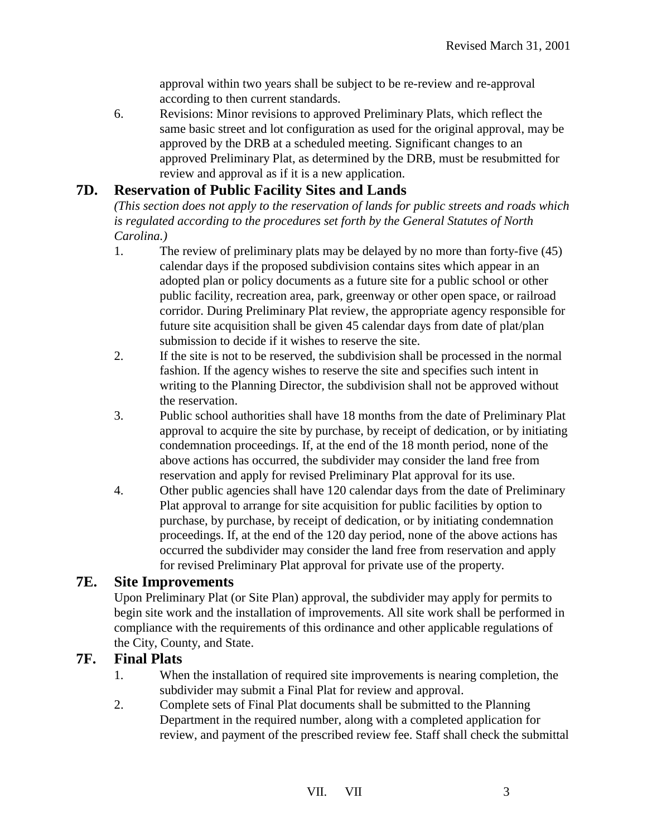approval within two years shall be subject to be re-review and re-approval according to then current standards.

6. Revisions: Minor revisions to approved Preliminary Plats, which reflect the same basic street and lot configuration as used for the original approval, may be approved by the DRB at a scheduled meeting. Significant changes to an approved Preliminary Plat, as determined by the DRB, must be resubmitted for review and approval as if it is a new application.

## **7D. Reservation of Public Facility Sites and Lands**

*(This section does not apply to the reservation of lands for public streets and roads which is regulated according to the procedures set forth by the General Statutes of North Carolina.)* 

- 1. The review of preliminary plats may be delayed by no more than forty-five (45) calendar days if the proposed subdivision contains sites which appear in an adopted plan or policy documents as a future site for a public school or other public facility, recreation area, park, greenway or other open space, or railroad corridor. During Preliminary Plat review, the appropriate agency responsible for future site acquisition shall be given 45 calendar days from date of plat/plan submission to decide if it wishes to reserve the site.
- 2. If the site is not to be reserved, the subdivision shall be processed in the normal fashion. If the agency wishes to reserve the site and specifies such intent in writing to the Planning Director, the subdivision shall not be approved without the reservation.
- 3. Public school authorities shall have 18 months from the date of Preliminary Plat approval to acquire the site by purchase, by receipt of dedication, or by initiating condemnation proceedings. If, at the end of the 18 month period, none of the above actions has occurred, the subdivider may consider the land free from reservation and apply for revised Preliminary Plat approval for its use.
- 4. Other public agencies shall have 120 calendar days from the date of Preliminary Plat approval to arrange for site acquisition for public facilities by option to purchase, by purchase, by receipt of dedication, or by initiating condemnation proceedings. If, at the end of the 120 day period, none of the above actions has occurred the subdivider may consider the land free from reservation and apply for revised Preliminary Plat approval for private use of the property.

#### **7E. Site Improvements**

Upon Preliminary Plat (or Site Plan) approval, the subdivider may apply for permits to begin site work and the installation of improvements. All site work shall be performed in compliance with the requirements of this ordinance and other applicable regulations of the City, County, and State.

#### **7F. Final Plats**

- 1. When the installation of required site improvements is nearing completion, the subdivider may submit a Final Plat for review and approval.
- 2. Complete sets of Final Plat documents shall be submitted to the Planning Department in the required number, along with a completed application for review, and payment of the prescribed review fee. Staff shall check the submittal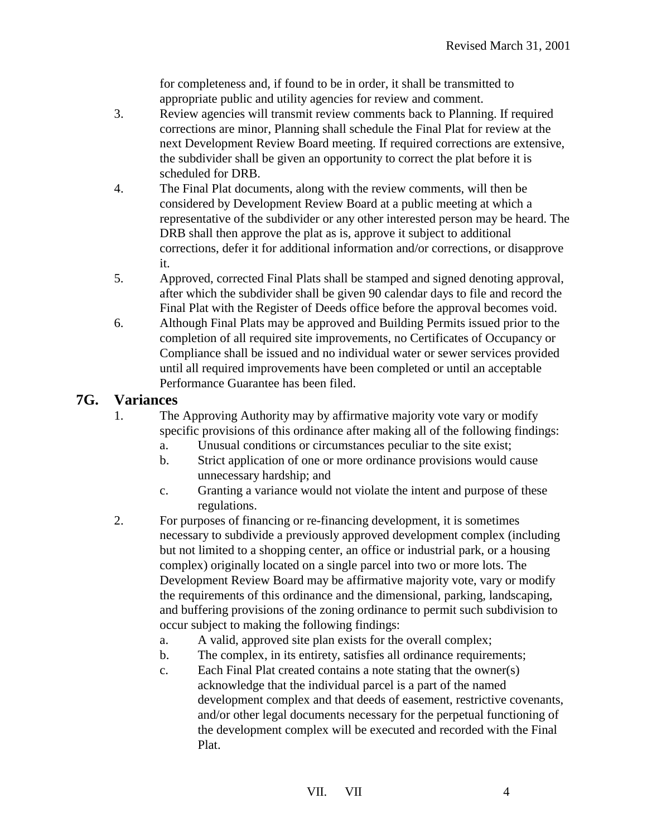for completeness and, if found to be in order, it shall be transmitted to appropriate public and utility agencies for review and comment.

- 3. Review agencies will transmit review comments back to Planning. If required corrections are minor, Planning shall schedule the Final Plat for review at the next Development Review Board meeting. If required corrections are extensive, the subdivider shall be given an opportunity to correct the plat before it is scheduled for DRB.
- 4. The Final Plat documents, along with the review comments, will then be considered by Development Review Board at a public meeting at which a representative of the subdivider or any other interested person may be heard. The DRB shall then approve the plat as is, approve it subject to additional corrections, defer it for additional information and/or corrections, or disapprove it.
- 5. Approved, corrected Final Plats shall be stamped and signed denoting approval, after which the subdivider shall be given 90 calendar days to file and record the Final Plat with the Register of Deeds office before the approval becomes void.
- 6. Although Final Plats may be approved and Building Permits issued prior to the completion of all required site improvements, no Certificates of Occupancy or Compliance shall be issued and no individual water or sewer services provided until all required improvements have been completed or until an acceptable Performance Guarantee has been filed.

## **7G. Variances**

- 1. The Approving Authority may by affirmative majority vote vary or modify specific provisions of this ordinance after making all of the following findings:
	- a. Unusual conditions or circumstances peculiar to the site exist;
	- b. Strict application of one or more ordinance provisions would cause unnecessary hardship; and
	- c. Granting a variance would not violate the intent and purpose of these regulations.
- 2. For purposes of financing or re-financing development, it is sometimes necessary to subdivide a previously approved development complex (including but not limited to a shopping center, an office or industrial park, or a housing complex) originally located on a single parcel into two or more lots. The Development Review Board may be affirmative majority vote, vary or modify the requirements of this ordinance and the dimensional, parking, landscaping, and buffering provisions of the zoning ordinance to permit such subdivision to occur subject to making the following findings:
	- a. A valid, approved site plan exists for the overall complex;
	- b. The complex, in its entirety, satisfies all ordinance requirements;
	- c. Each Final Plat created contains a note stating that the owner(s) acknowledge that the individual parcel is a part of the named development complex and that deeds of easement, restrictive covenants, and/or other legal documents necessary for the perpetual functioning of the development complex will be executed and recorded with the Final Plat.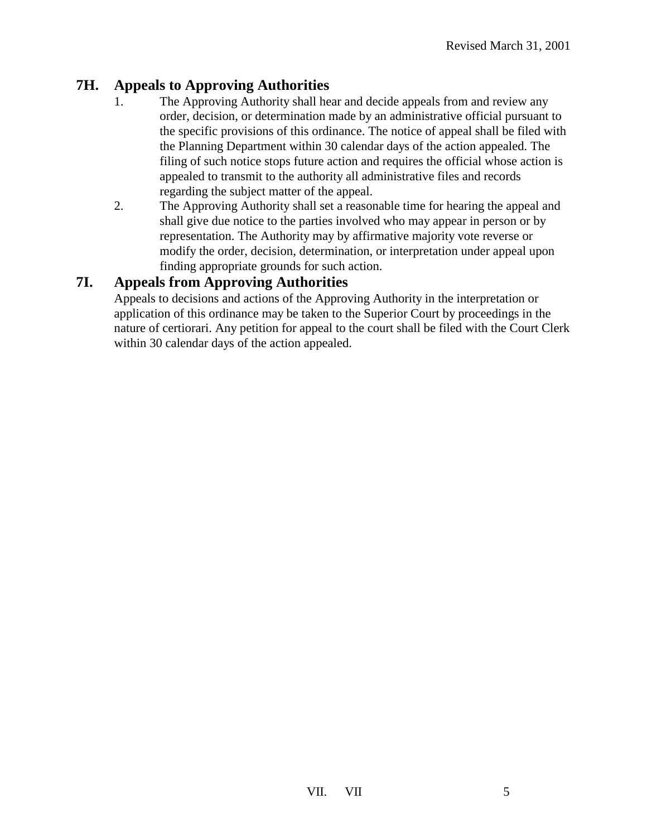## **7H. Appeals to Approving Authorities**

- 1. The Approving Authority shall hear and decide appeals from and review any order, decision, or determination made by an administrative official pursuant to the specific provisions of this ordinance. The notice of appeal shall be filed with the Planning Department within 30 calendar days of the action appealed. The filing of such notice stops future action and requires the official whose action is appealed to transmit to the authority all administrative files and records regarding the subject matter of the appeal.
- 2. The Approving Authority shall set a reasonable time for hearing the appeal and shall give due notice to the parties involved who may appear in person or by representation. The Authority may by affirmative majority vote reverse or modify the order, decision, determination, or interpretation under appeal upon finding appropriate grounds for such action.

## **7I. Appeals from Approving Authorities**

Appeals to decisions and actions of the Approving Authority in the interpretation or application of this ordinance may be taken to the Superior Court by proceedings in the nature of certiorari. Any petition for appeal to the court shall be filed with the Court Clerk within 30 calendar days of the action appealed.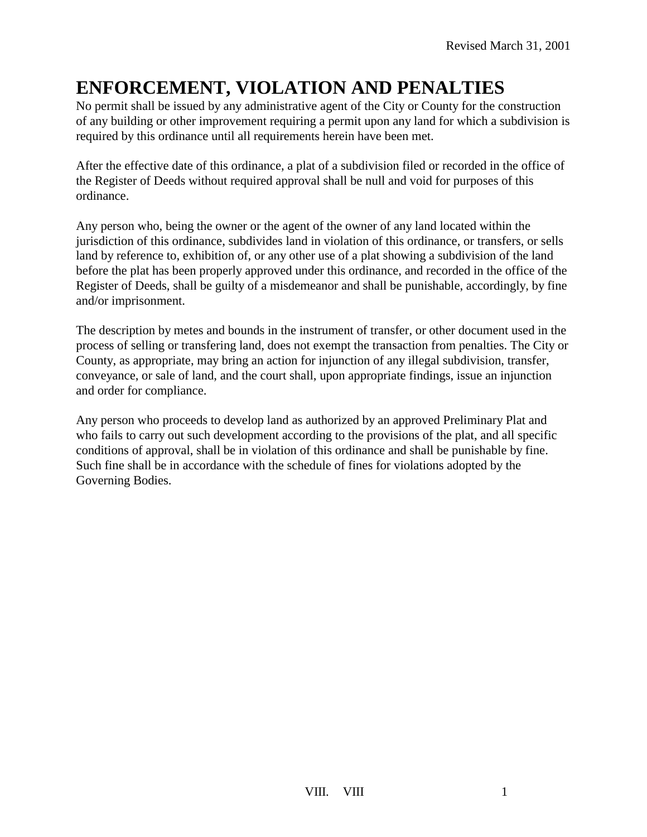## **ENFORCEMENT, VIOLATION AND PENALTIES**

No permit shall be issued by any administrative agent of the City or County for the construction of any building or other improvement requiring a permit upon any land for which a subdivision is required by this ordinance until all requirements herein have been met.

After the effective date of this ordinance, a plat of a subdivision filed or recorded in the office of the Register of Deeds without required approval shall be null and void for purposes of this ordinance.

Any person who, being the owner or the agent of the owner of any land located within the jurisdiction of this ordinance, subdivides land in violation of this ordinance, or transfers, or sells land by reference to, exhibition of, or any other use of a plat showing a subdivision of the land before the plat has been properly approved under this ordinance, and recorded in the office of the Register of Deeds, shall be guilty of a misdemeanor and shall be punishable, accordingly, by fine and/or imprisonment.

The description by metes and bounds in the instrument of transfer, or other document used in the process of selling or transfering land, does not exempt the transaction from penalties. The City or County, as appropriate, may bring an action for injunction of any illegal subdivision, transfer, conveyance, or sale of land, and the court shall, upon appropriate findings, issue an injunction and order for compliance.

Any person who proceeds to develop land as authorized by an approved Preliminary Plat and who fails to carry out such development according to the provisions of the plat, and all specific conditions of approval, shall be in violation of this ordinance and shall be punishable by fine. Such fine shall be in accordance with the schedule of fines for violations adopted by the Governing Bodies.